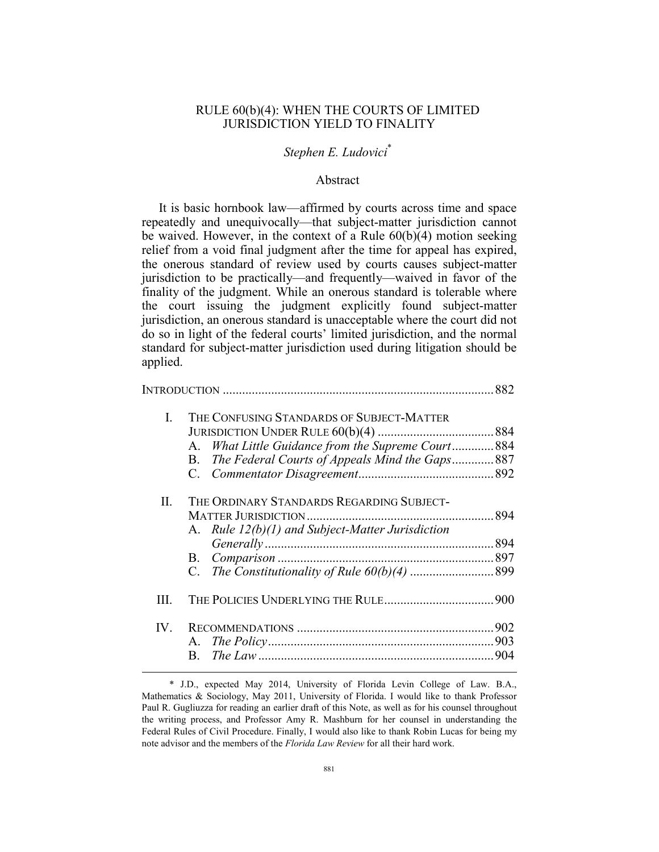# RULE 60(b)(4): WHEN THE COURTS OF LIMITED JURISDICTION YIELD TO FINALITY

# *Stephen E. Ludovici*\*

# Abstract

It is basic hornbook law—affirmed by courts across time and space repeatedly and unequivocally—that subject-matter jurisdiction cannot be waived. However, in the context of a Rule 60(b)(4) motion seeking relief from a void final judgment after the time for appeal has expired, the onerous standard of review used by courts causes subject-matter jurisdiction to be practically—and frequently—waived in favor of the finality of the judgment. While an onerous standard is tolerable where the court issuing the judgment explicitly found subject-matter jurisdiction, an onerous standard is unacceptable where the court did not do so in light of the federal courts' limited jurisdiction, and the normal standard for subject-matter jurisdiction used during litigation should be applied.

|      |                                                       | 882 |  |  |  |
|------|-------------------------------------------------------|-----|--|--|--|
| I.   | THE CONFUSING STANDARDS OF SUBJECT-MATTER             |     |  |  |  |
|      |                                                       |     |  |  |  |
|      | What Little Guidance from the Supreme Court 884<br>А. |     |  |  |  |
|      | The Federal Courts of Appeals Mind the Gaps887<br>B.  |     |  |  |  |
|      |                                                       |     |  |  |  |
| П.   | THE ORDINARY STANDARDS REGARDING SUBJECT-             |     |  |  |  |
|      |                                                       |     |  |  |  |
|      | A. Rule $12(b)(1)$ and Subject-Matter Jurisdiction    |     |  |  |  |
|      |                                                       |     |  |  |  |
|      | В.                                                    |     |  |  |  |
|      | $C_{\cdot}$                                           |     |  |  |  |
| III. |                                                       |     |  |  |  |
| IV.  |                                                       |     |  |  |  |
|      |                                                       |     |  |  |  |
|      | B.                                                    |     |  |  |  |
|      |                                                       |     |  |  |  |

 <sup>\*</sup> J.D., expected May 2014, University of Florida Levin College of Law. B.A., Mathematics & Sociology, May 2011, University of Florida. I would like to thank Professor Paul R. Gugliuzza for reading an earlier draft of this Note, as well as for his counsel throughout the writing process, and Professor Amy R. Mashburn for her counsel in understanding the Federal Rules of Civil Procedure. Finally, I would also like to thank Robin Lucas for being my note advisor and the members of the *Florida Law Review* for all their hard work.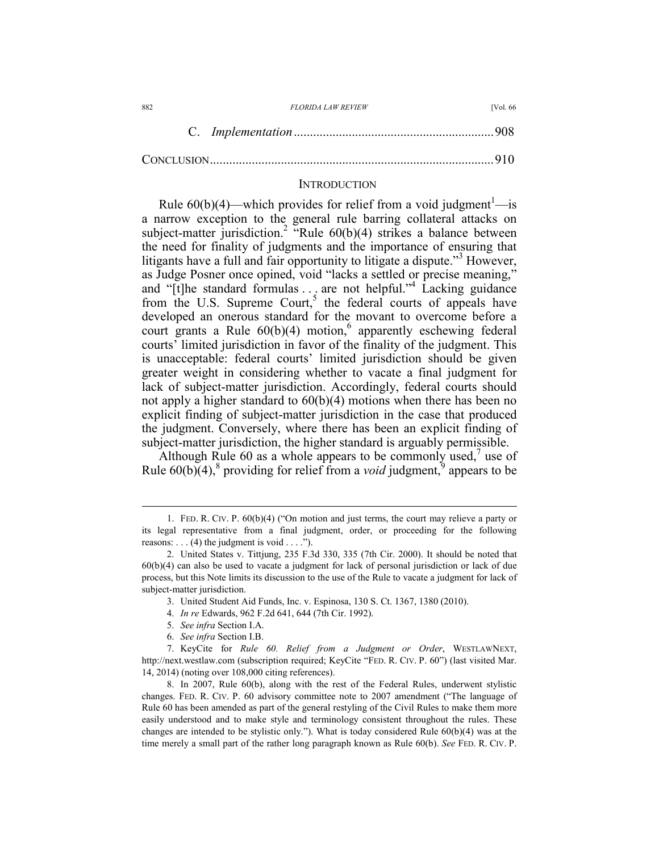| 882 | <i>FLORIDA LAW REVIEW</i> | <b>IVol. 66</b> |
|-----|---------------------------|-----------------|
|     |                           |                 |

CONCLUSION ........................................................................................ 910

# **INTRODUCTION**

Rule  $60(b)(4)$ —which provides for relief from a void judgment<sup>1</sup>—is a narrow exception to the general rule barring collateral attacks on subject-matter jurisdiction.<sup>2</sup> "Rule  $60(b)(4)$  strikes a balance between the need for finality of judgments and the importance of ensuring that litigants have a full and fair opportunity to litigate a dispute."<sup>3</sup> However, as Judge Posner once opined, void "lacks a settled or precise meaning," and "[t]he standard formulas ... are not helpful."<sup>4</sup> Lacking guidance from the U.S. Supreme Court,<sup>5</sup> the federal courts of appeals have developed an onerous standard for the movant to overcome before a court grants a Rule  $60(b)(4)$  motion,<sup>6</sup> apparently eschewing federal courts' limited jurisdiction in favor of the finality of the judgment. This is unacceptable: federal courts' limited jurisdiction should be given greater weight in considering whether to vacate a final judgment for lack of subject-matter jurisdiction. Accordingly, federal courts should not apply a higher standard to 60(b)(4) motions when there has been no explicit finding of subject-matter jurisdiction in the case that produced the judgment. Conversely, where there has been an explicit finding of subject-matter jurisdiction, the higher standard is arguably permissible.

Although Rule 60 as a whole appears to be commonly used,<sup>7</sup> use of Rule  $60(b)(4)$ ,  $\frac{8}{3}$  providing for relief from a *void* judgment,  $\frac{8}{3}$  appears to be

5. *See infra* Section I.A.

 <sup>1.</sup> FED. R. CIV. P. 60(b)(4) ("On motion and just terms, the court may relieve a party or its legal representative from a final judgment, order, or proceeding for the following reasons:  $\dots$  (4) the judgment is void  $\dots$ .").

 <sup>2.</sup> United States v. Tittjung, 235 F.3d 330, 335 (7th Cir. 2000). It should be noted that 60(b)(4) can also be used to vacate a judgment for lack of personal jurisdiction or lack of due process, but this Note limits its discussion to the use of the Rule to vacate a judgment for lack of subject-matter jurisdiction.

 <sup>3.</sup> United Student Aid Funds, Inc. v. Espinosa, 130 S. Ct. 1367, 1380 (2010).

 <sup>4.</sup> *In re* Edwards, 962 F.2d 641, 644 (7th Cir. 1992).

 <sup>6.</sup> *See infra* Section I.B.

 <sup>7.</sup> KeyCite for *Rule 60. Relief from a Judgment or Order*, WESTLAWNEXT, http://next.westlaw.com (subscription required; KeyCite "FED. R. CIV. P. 60") (last visited Mar. 14, 2014) (noting over 108,000 citing references).

 <sup>8.</sup> In 2007, Rule 60(b), along with the rest of the Federal Rules, underwent stylistic changes. FED. R. CIV. P. 60 advisory committee note to 2007 amendment ("The language of Rule 60 has been amended as part of the general restyling of the Civil Rules to make them more easily understood and to make style and terminology consistent throughout the rules. These changes are intended to be stylistic only."). What is today considered Rule 60(b)(4) was at the time merely a small part of the rather long paragraph known as Rule 60(b). *See* FED. R. CIV. P.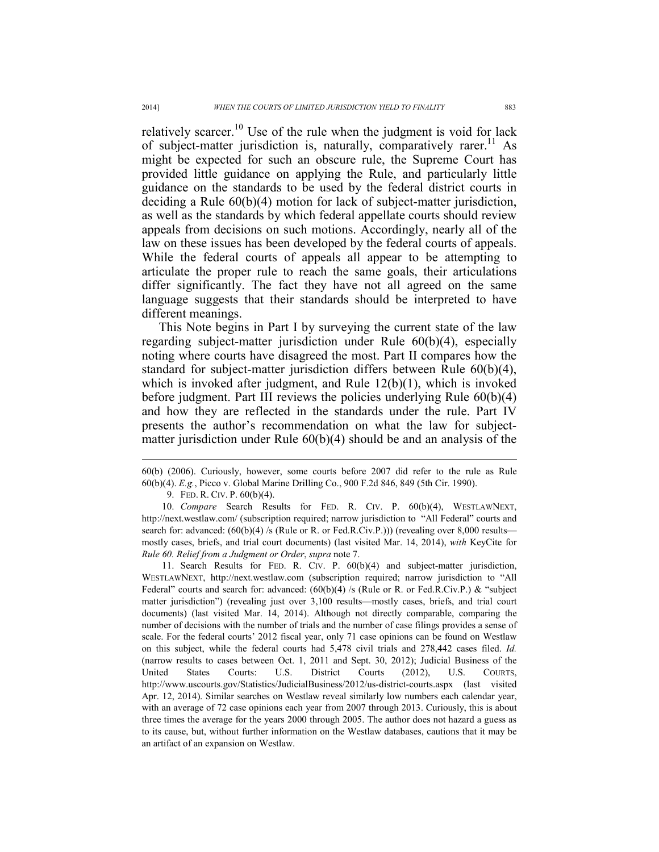relatively scarcer.<sup>10</sup> Use of the rule when the judgment is void for lack of subject-matter jurisdiction is, naturally, comparatively rarer.<sup>11</sup> As might be expected for such an obscure rule, the Supreme Court has provided little guidance on applying the Rule, and particularly little guidance on the standards to be used by the federal district courts in deciding a Rule 60(b)(4) motion for lack of subject-matter jurisdiction, as well as the standards by which federal appellate courts should review appeals from decisions on such motions. Accordingly, nearly all of the law on these issues has been developed by the federal courts of appeals. While the federal courts of appeals all appear to be attempting to articulate the proper rule to reach the same goals, their articulations differ significantly. The fact they have not all agreed on the same language suggests that their standards should be interpreted to have different meanings.

This Note begins in Part I by surveying the current state of the law regarding subject-matter jurisdiction under Rule 60(b)(4), especially noting where courts have disagreed the most. Part II compares how the standard for subject-matter jurisdiction differs between Rule 60(b)(4), which is invoked after judgment, and Rule 12(b)(1), which is invoked before judgment. Part III reviews the policies underlying Rule 60(b)(4) and how they are reflected in the standards under the rule. Part IV presents the author's recommendation on what the law for subjectmatter jurisdiction under Rule  $60(b)(4)$  should be and an analysis of the

9. FED. R. CIV. P. 60(b)(4).

 10. *Compare* Search Results for FED. R. CIV. P. 60(b)(4), WESTLAWNEXT, http://next.westlaw.com/ (subscription required; narrow jurisdiction to "All Federal" courts and search for: advanced:  $(60(b)(4)$  /s (Rule or R. or Fed.R.Civ.P.))) (revealing over 8,000 results mostly cases, briefs, and trial court documents) (last visited Mar. 14, 2014), *with* KeyCite for *Rule 60. Relief from a Judgment or Order*, *supra* note 7.

 11. Search Results for FED. R. CIV. P. 60(b)(4) and subject-matter jurisdiction, WESTLAWNEXT, http://next.westlaw.com (subscription required; narrow jurisdiction to "All Federal" courts and search for: advanced:  $(60(b)(4)$  /s (Rule or R. or Fed.R.Civ.P.) & "subject" matter jurisdiction") (revealing just over 3,100 results—mostly cases, briefs, and trial court documents) (last visited Mar. 14, 2014). Although not directly comparable, comparing the number of decisions with the number of trials and the number of case filings provides a sense of scale. For the federal courts' 2012 fiscal year, only 71 case opinions can be found on Westlaw on this subject, while the federal courts had 5,478 civil trials and 278,442 cases filed. *Id.* (narrow results to cases between Oct. 1, 2011 and Sept. 30, 2012); Judicial Business of the United States Courts: U.S. District Courts (2012), U.S. COURTS, http://www.uscourts.gov/Statistics/JudicialBusiness/2012/us-district-courts.aspx (last visited Apr. 12, 2014). Similar searches on Westlaw reveal similarly low numbers each calendar year, with an average of 72 case opinions each year from 2007 through 2013. Curiously, this is about three times the average for the years 2000 through 2005. The author does not hazard a guess as to its cause, but, without further information on the Westlaw databases, cautions that it may be an artifact of an expansion on Westlaw.

<sup>60(</sup>b) (2006). Curiously, however, some courts before 2007 did refer to the rule as Rule 60(b)(4). *E.g.*, Picco v. Global Marine Drilling Co., 900 F.2d 846, 849 (5th Cir. 1990).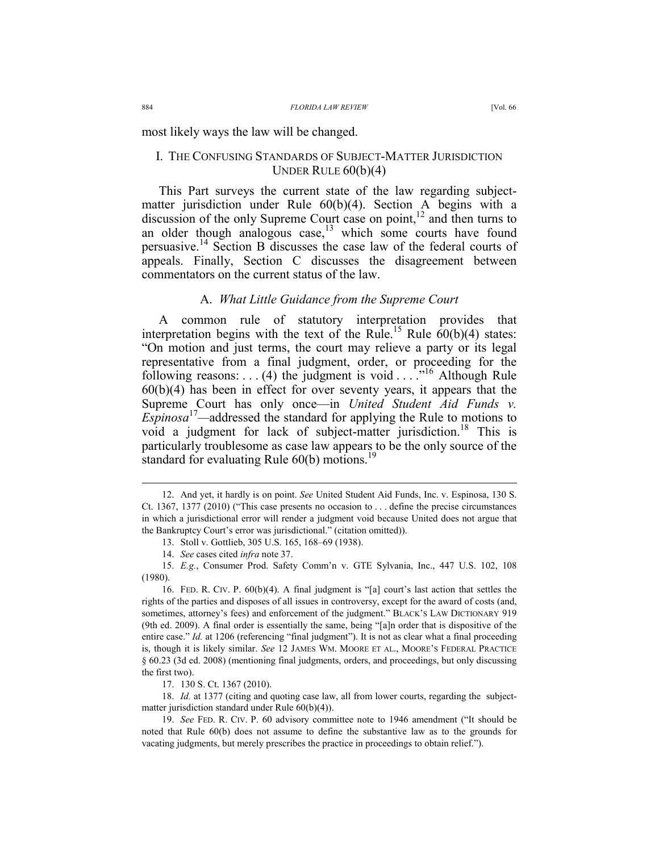most likely ways the law will be changed.

# I. THE CONFUSING STANDARDS OF SUBJECT-MATTER JURISDICTION UNDER RULE 60(b)(4)

This Part surveys the current state of the law regarding subjectmatter jurisdiction under Rule 60(b)(4). Section A begins with a discussion of the only Supreme Court case on point, $^{12}$  and then turns to an older though analogous case, $13$  which some courts have found persuasive.14 Section B discusses the case law of the federal courts of appeals. Finally, Section C discusses the disagreement between commentators on the current status of the law.

# A. *What Little Guidance from the Supreme Court*

A common rule of statutory interpretation provides that interpretation begins with the text of the Rule.<sup>15</sup> Rule  $60(b)(4)$  states: "On motion and just terms, the court may relieve a party or its legal representative from a final judgment, order, or proceeding for the following reasons: . . . (4) the judgment is void . . . . . "<sup>16</sup> Although Rule 60(b)(4) has been in effect for over seventy years, it appears that the Supreme Court has only once—in *United Student Aid Funds v. Espinosa*<sup>17</sup>—addressed the standard for applying the Rule to motions to void a judgment for lack of subject-matter jurisdiction.<sup>18</sup> This is particularly troublesome as case law appears to be the only source of the standard for evaluating Rule  $60(b)$  motions.<sup>19</sup>

 <sup>12.</sup> And yet, it hardly is on point. *See* United Student Aid Funds, Inc. v. Espinosa, 130 S. Ct. 1367, 1377 (2010) ("This case presents no occasion to . . . define the precise circumstances in which a jurisdictional error will render a judgment void because United does not argue that the Bankruptcy Court's error was jurisdictional." (citation omitted)).

 <sup>13.</sup> Stoll v. Gottlieb, 305 U.S. 165, 168–69 (1938).

 <sup>14.</sup> *See* cases cited *infra* note 37.

 <sup>15.</sup> *E.g.*, Consumer Prod. Safety Comm'n v. GTE Sylvania, Inc., 447 U.S. 102, 108 (1980).

 <sup>16.</sup> FED. R. CIV. P. 60(b)(4). A final judgment is "[a] court's last action that settles the rights of the parties and disposes of all issues in controversy, except for the award of costs (and, sometimes, attorney's fees) and enforcement of the judgment." BLACK'S LAW DICTIONARY 919 (9th ed. 2009). A final order is essentially the same, being "[a]n order that is dispositive of the entire case." *Id.* at 1206 (referencing "final judgment"). It is not as clear what a final proceeding is, though it is likely similar. *See* 12 JAMES WM. MOORE ET AL., MOORE'S FEDERAL PRACTICE § 60.23 (3d ed. 2008) (mentioning final judgments, orders, and proceedings, but only discussing the first two).

 <sup>17. 130</sup> S. Ct. 1367 (2010).

 <sup>18.</sup> *Id.* at 1377 (citing and quoting case law, all from lower courts, regarding the subjectmatter jurisdiction standard under Rule 60(b)(4)).

 <sup>19.</sup> *See* FED. R. CIV. P. 60 advisory committee note to 1946 amendment ("It should be noted that Rule 60(b) does not assume to define the substantive law as to the grounds for vacating judgments, but merely prescribes the practice in proceedings to obtain relief.").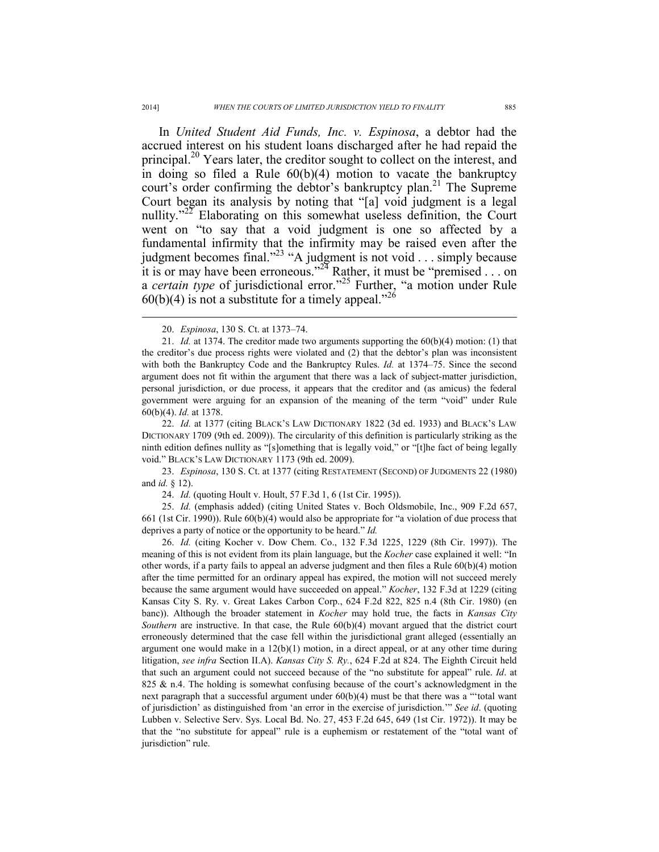In *United Student Aid Funds, Inc. v. Espinosa*, a debtor had the accrued interest on his student loans discharged after he had repaid the principal.<sup>20</sup> Years later, the creditor sought to collect on the interest, and in doing so filed a Rule  $60(b)(4)$  motion to vacate the bankruptcy court's order confirming the debtor's bankruptcy plan.<sup>21</sup> The Supreme Court began its analysis by noting that "[a] void judgment is a legal nullity."<sup>22</sup> Elaborating on this somewhat useless definition, the Court went on "to say that a void judgment is one so affected by a fundamental infirmity that the infirmity may be raised even after the judgment becomes final."<sup>23</sup> "A judgment is not void  $\ldots$  simply because it is or may have been erroneous."<sup>24</sup> Rather, it must be "premised . . . on a *certain type* of jurisdictional error."25 Further, "a motion under Rule  $60(b)(4)$  is not a substitute for a timely appeal."<sup>26</sup>

 22. *Id.* at 1377 (citing BLACK'S LAW DICTIONARY 1822 (3d ed. 1933) and BLACK'S LAW DICTIONARY 1709 (9th ed. 2009)). The circularity of this definition is particularly striking as the ninth edition defines nullity as "[s]omething that is legally void," or "[t]he fact of being legally void." BLACK'S LAW DICTIONARY 1173 (9th ed. 2009).

 23. *Espinosa*, 130 S. Ct. at 1377 (citing RESTATEMENT (SECOND) OF JUDGMENTS 22 (1980) and *id.* § 12).

24. *Id.* (quoting Hoult v. Hoult, 57 F.3d 1, 6 (1st Cir. 1995)).

 25. *Id.* (emphasis added) (citing United States v. Boch Oldsmobile, Inc., 909 F.2d 657, 661 (1st Cir. 1990)). Rule 60(b)(4) would also be appropriate for "a violation of due process that deprives a party of notice or the opportunity to be heard." *Id.*

 26. *Id.* (citing Kocher v. Dow Chem. Co., 132 F.3d 1225, 1229 (8th Cir. 1997)). The meaning of this is not evident from its plain language, but the *Kocher* case explained it well: "In other words, if a party fails to appeal an adverse judgment and then files a Rule  $60(b)(4)$  motion after the time permitted for an ordinary appeal has expired, the motion will not succeed merely because the same argument would have succeeded on appeal." *Kocher*, 132 F.3d at 1229 (citing Kansas City S. Ry. v. Great Lakes Carbon Corp., 624 F.2d 822, 825 n.4 (8th Cir. 1980) (en banc)). Although the broader statement in *Kocher* may hold true, the facts in *Kansas City Southern* are instructive. In that case, the Rule 60(b)(4) movant argued that the district court erroneously determined that the case fell within the jurisdictional grant alleged (essentially an argument one would make in a  $12(b)(1)$  motion, in a direct appeal, or at any other time during litigation, *see infra* Section II.A). *Kansas City S. Ry.*, 624 F.2d at 824. The Eighth Circuit held that such an argument could not succeed because of the "no substitute for appeal" rule. *Id*. at 825 & n.4. The holding is somewhat confusing because of the court's acknowledgment in the next paragraph that a successful argument under  $60(b)(4)$  must be that there was a "total want of jurisdiction' as distinguished from 'an error in the exercise of jurisdiction.'" *See id*. (quoting Lubben v. Selective Serv. Sys. Local Bd. No. 27, 453 F.2d 645, 649 (1st Cir. 1972)). It may be that the "no substitute for appeal" rule is a euphemism or restatement of the "total want of jurisdiction" rule.

 <sup>20.</sup> *Espinosa*, 130 S. Ct. at 1373–74.

 <sup>21.</sup> *Id.* at 1374. The creditor made two arguments supporting the 60(b)(4) motion: (1) that the creditor's due process rights were violated and (2) that the debtor's plan was inconsistent with both the Bankruptcy Code and the Bankruptcy Rules. *Id.* at 1374–75. Since the second argument does not fit within the argument that there was a lack of subject-matter jurisdiction, personal jurisdiction, or due process, it appears that the creditor and (as amicus) the federal government were arguing for an expansion of the meaning of the term "void" under Rule 60(b)(4). *Id.* at 1378.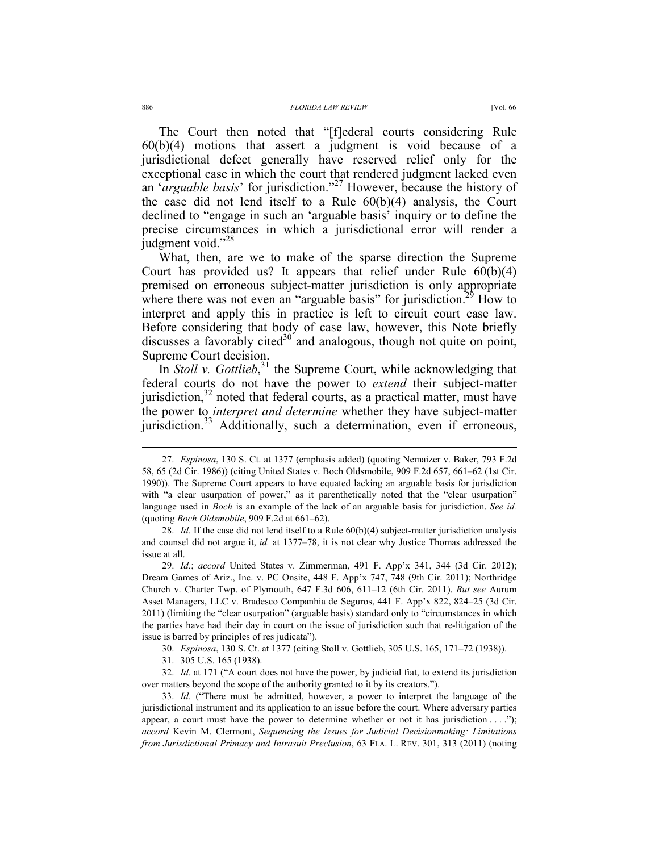The Court then noted that "[f]ederal courts considering Rule 60(b)(4) motions that assert a judgment is void because of a jurisdictional defect generally have reserved relief only for the exceptional case in which the court that rendered judgment lacked even an '*arguable basis*' for jurisdiction."27 However, because the history of the case did not lend itself to a Rule 60(b)(4) analysis, the Court declined to "engage in such an 'arguable basis' inquiry or to define the precise circumstances in which a jurisdictional error will render a judgment void."<sup>28</sup>

What, then, are we to make of the sparse direction the Supreme Court has provided us? It appears that relief under Rule 60(b)(4) premised on erroneous subject-matter jurisdiction is only appropriate where there was not even an "arguable basis" for jurisdiction.<sup>29</sup> How to interpret and apply this in practice is left to circuit court case law. Before considering that body of case law, however, this Note briefly discusses a favorably cited $30^{\circ}$  and analogous, though not quite on point, Supreme Court decision.

In *Stoll v. Gottlieb*,<sup>31</sup> the Supreme Court, while acknowledging that federal courts do not have the power to *extend* their subject-matter jurisdiction, $32$  noted that federal courts, as a practical matter, must have the power to *interpret and determine* whether they have subject-matter jurisdiction.<sup>33</sup> Additionally, such a determination, even if erroneous,

 29. *Id.*; *accord* United States v. Zimmerman, 491 F. App'x 341, 344 (3d Cir. 2012); Dream Games of Ariz., Inc. v. PC Onsite, 448 F. App'x 747, 748 (9th Cir. 2011); Northridge Church v. Charter Twp. of Plymouth, 647 F.3d 606, 611–12 (6th Cir. 2011). *But see* Aurum Asset Managers, LLC v. Bradesco Companhia de Seguros, 441 F. App'x 822, 824–25 (3d Cir. 2011) (limiting the "clear usurpation" (arguable basis) standard only to "circumstances in which the parties have had their day in court on the issue of jurisdiction such that re-litigation of the issue is barred by principles of res judicata").

30. *Espinosa*, 130 S. Ct. at 1377 (citing Stoll v. Gottlieb, 305 U.S. 165, 171–72 (1938)).

31. 305 U.S. 165 (1938).

 32. *Id.* at 171 ("A court does not have the power, by judicial fiat, to extend its jurisdiction over matters beyond the scope of the authority granted to it by its creators.").

 33. *Id.* ("There must be admitted, however, a power to interpret the language of the jurisdictional instrument and its application to an issue before the court. Where adversary parties appear, a court must have the power to determine whether or not it has jurisdiction  $\dots$ ."); *accord* Kevin M. Clermont, *Sequencing the Issues for Judicial Decisionmaking: Limitations from Jurisdictional Primacy and Intrasuit Preclusion*, 63 FLA. L. REV. 301, 313 (2011) (noting

 <sup>27.</sup> *Espinosa*, 130 S. Ct. at 1377 (emphasis added) (quoting Nemaizer v. Baker, 793 F.2d 58, 65 (2d Cir. 1986)) (citing United States v. Boch Oldsmobile, 909 F.2d 657, 661–62 (1st Cir. 1990)). The Supreme Court appears to have equated lacking an arguable basis for jurisdiction with "a clear usurpation of power," as it parenthetically noted that the "clear usurpation" language used in *Boch* is an example of the lack of an arguable basis for jurisdiction. *See id.*  (quoting *Boch Oldsmobile*, 909 F.2d at 661–62).

 <sup>28.</sup> *Id.* If the case did not lend itself to a Rule 60(b)(4) subject-matter jurisdiction analysis and counsel did not argue it, *id.* at 1377–78, it is not clear why Justice Thomas addressed the issue at all.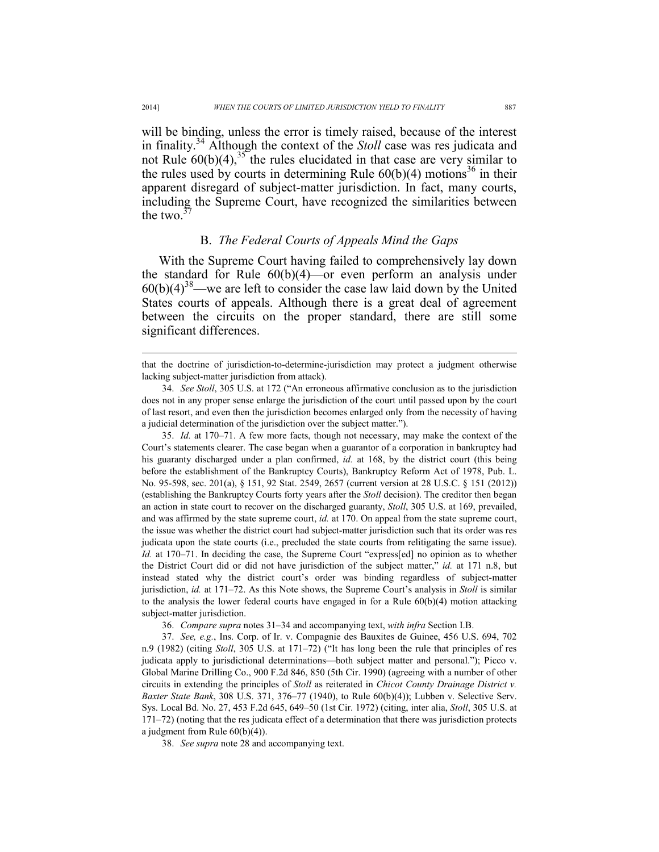will be binding, unless the error is timely raised, because of the interest in finality.34 Although the context of the *Stoll* case was res judicata and not Rule  $60(b)(4)$ ,<sup>35</sup> the rules elucidated in that case are very similar to the rules used by courts in determining Rule  $60(b)(4)$  motions<sup>36</sup> in their apparent disregard of subject-matter jurisdiction. In fact, many courts, including the Supreme Court, have recognized the similarities between the two. $37$ 

# B. *The Federal Courts of Appeals Mind the Gaps*

With the Supreme Court having failed to comprehensively lay down the standard for Rule 60(b)(4)—or even perform an analysis under  $60(b)(4)^{38}$ —we are left to consider the case law laid down by the United States courts of appeals. Although there is a great deal of agreement between the circuits on the proper standard, there are still some significant differences.

 35. *Id.* at 170–71. A few more facts, though not necessary, may make the context of the Court's statements clearer. The case began when a guarantor of a corporation in bankruptcy had his guaranty discharged under a plan confirmed, *id.* at 168, by the district court (this being before the establishment of the Bankruptcy Courts), Bankruptcy Reform Act of 1978, Pub. L. No. 95-598, sec. 201(a), § 151, 92 Stat. 2549, 2657 (current version at 28 U.S.C. § 151 (2012)) (establishing the Bankruptcy Courts forty years after the *Stoll* decision). The creditor then began an action in state court to recover on the discharged guaranty, *Stoll*, 305 U.S. at 169, prevailed, and was affirmed by the state supreme court, *id.* at 170. On appeal from the state supreme court, the issue was whether the district court had subject-matter jurisdiction such that its order was res judicata upon the state courts (i.e., precluded the state courts from relitigating the same issue). *Id.* at 170–71. In deciding the case, the Supreme Court "express[ed] no opinion as to whether the District Court did or did not have jurisdiction of the subject matter," *id.* at 171 n.8, but instead stated why the district court's order was binding regardless of subject-matter jurisdiction, *id.* at 171–72. As this Note shows, the Supreme Court's analysis in *Stoll* is similar to the analysis the lower federal courts have engaged in for a Rule  $60(b)(4)$  motion attacking subject-matter jurisdiction.

36. *Compare supra* notes 31–34 and accompanying text, *with infra* Section I.B.

 37. *See, e.g.*, Ins. Corp. of Ir. v. Compagnie des Bauxites de Guinee, 456 U.S. 694, 702 n.9 (1982) (citing *Stoll*, 305 U.S. at 171–72) ("It has long been the rule that principles of res judicata apply to jurisdictional determinations—both subject matter and personal."); Picco v. Global Marine Drilling Co., 900 F.2d 846, 850 (5th Cir. 1990) (agreeing with a number of other circuits in extending the principles of *Stoll* as reiterated in *Chicot County Drainage District v. Baxter State Bank*, 308 U.S. 371, 376–77 (1940), to Rule 60(b)(4)); Lubben v. Selective Serv. Sys. Local Bd. No. 27, 453 F.2d 645, 649–50 (1st Cir. 1972) (citing, inter alia, *Stoll*, 305 U.S. at 171–72) (noting that the res judicata effect of a determination that there was jurisdiction protects a judgment from Rule 60(b)(4)).

38. *See supra* note 28 and accompanying text.

that the doctrine of jurisdiction-to-determine-jurisdiction may protect a judgment otherwise lacking subject-matter jurisdiction from attack).

 <sup>34.</sup> *See Stoll*, 305 U.S. at 172 ("An erroneous affirmative conclusion as to the jurisdiction does not in any proper sense enlarge the jurisdiction of the court until passed upon by the court of last resort, and even then the jurisdiction becomes enlarged only from the necessity of having a judicial determination of the jurisdiction over the subject matter.").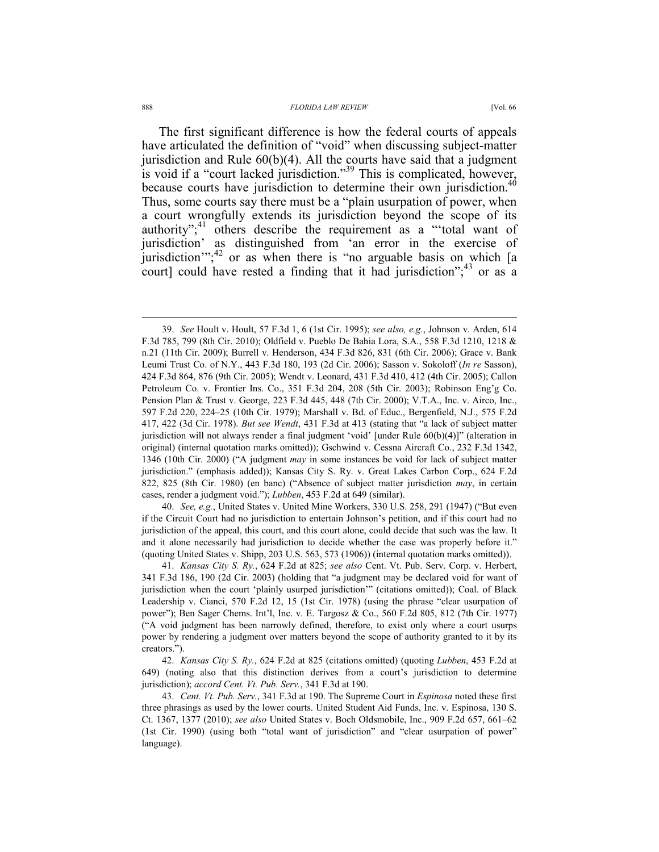The first significant difference is how the federal courts of appeals have articulated the definition of "void" when discussing subject-matter jurisdiction and Rule  $60(b)(4)$ . All the courts have said that a judgment is void if a "court lacked jurisdiction."39 This is complicated, however, because courts have jurisdiction to determine their own jurisdiction.<sup>40</sup> Thus, some courts say there must be a "plain usurpation of power, when a court wrongfully extends its jurisdiction beyond the scope of its authority";<sup>41</sup> others describe the requirement as a "'total want of jurisdiction' as distinguished from 'an error in the exercise of jurisdiction"; $^{42}$  or as when there is "no arguable basis on which [a court] could have rested a finding that it had jurisdiction"; $43$  or as a

 40. *See, e.g.*, United States v. United Mine Workers, 330 U.S. 258, 291 (1947) ("But even if the Circuit Court had no jurisdiction to entertain Johnson's petition, and if this court had no jurisdiction of the appeal, this court, and this court alone, could decide that such was the law. It and it alone necessarily had jurisdiction to decide whether the case was properly before it." (quoting United States v. Shipp, 203 U.S. 563, 573 (1906)) (internal quotation marks omitted)).

 41. *Kansas City S. Ry.*, 624 F.2d at 825; *see also* Cent. Vt. Pub. Serv. Corp. v. Herbert, 341 F.3d 186, 190 (2d Cir. 2003) (holding that "a judgment may be declared void for want of jurisdiction when the court 'plainly usurped jurisdiction'" (citations omitted)); Coal. of Black Leadership v. Cianci, 570 F.2d 12, 15 (1st Cir. 1978) (using the phrase "clear usurpation of power"); Ben Sager Chems. Int'l, Inc. v. E. Targosz & Co., 560 F.2d 805, 812 (7th Cir. 1977) ("A void judgment has been narrowly defined, therefore, to exist only where a court usurps power by rendering a judgment over matters beyond the scope of authority granted to it by its creators.").

 42. *Kansas City S. Ry.*, 624 F.2d at 825 (citations omitted) (quoting *Lubben*, 453 F.2d at 649) (noting also that this distinction derives from a court's jurisdiction to determine jurisdiction); *accord Cent. Vt. Pub. Serv.*, 341 F.3d at 190.

 43. *Cent. Vt. Pub. Serv.*, 341 F.3d at 190. The Supreme Court in *Espinosa* noted these first three phrasings as used by the lower courts. United Student Aid Funds, Inc. v. Espinosa, 130 S. Ct. 1367, 1377 (2010); *see also* United States v. Boch Oldsmobile, Inc., 909 F.2d 657, 661–62 (1st Cir. 1990) (using both "total want of jurisdiction" and "clear usurpation of power" language).

 <sup>39.</sup> *See* Hoult v. Hoult, 57 F.3d 1, 6 (1st Cir. 1995); *see also, e.g.*, Johnson v. Arden, 614 F.3d 785, 799 (8th Cir. 2010); Oldfield v. Pueblo De Bahia Lora, S.A., 558 F.3d 1210, 1218 & n.21 (11th Cir. 2009); Burrell v. Henderson, 434 F.3d 826, 831 (6th Cir. 2006); Grace v. Bank Leumi Trust Co. of N.Y., 443 F.3d 180, 193 (2d Cir. 2006); Sasson v. Sokoloff (*In re* Sasson), 424 F.3d 864, 876 (9th Cir. 2005); Wendt v. Leonard, 431 F.3d 410, 412 (4th Cir. 2005); Callon Petroleum Co. v. Frontier Ins. Co., 351 F.3d 204, 208 (5th Cir. 2003); Robinson Eng'g Co. Pension Plan & Trust v. George, 223 F.3d 445, 448 (7th Cir. 2000); V.T.A., Inc. v. Airco, Inc., 597 F.2d 220, 224–25 (10th Cir. 1979); Marshall v. Bd. of Educ., Bergenfield, N.J., 575 F.2d 417, 422 (3d Cir. 1978). *But see Wendt*, 431 F.3d at 413 (stating that "a lack of subject matter jurisdiction will not always render a final judgment 'void' [under Rule 60(b)(4)]" (alteration in original) (internal quotation marks omitted)); Gschwind v. Cessna Aircraft Co., 232 F.3d 1342, 1346 (10th Cir. 2000) ("A judgment *may* in some instances be void for lack of subject matter jurisdiction." (emphasis added)); Kansas City S. Ry. v. Great Lakes Carbon Corp., 624 F.2d 822, 825 (8th Cir. 1980) (en banc) ("Absence of subject matter jurisdiction *may*, in certain cases, render a judgment void."); *Lubben*, 453 F.2d at 649 (similar).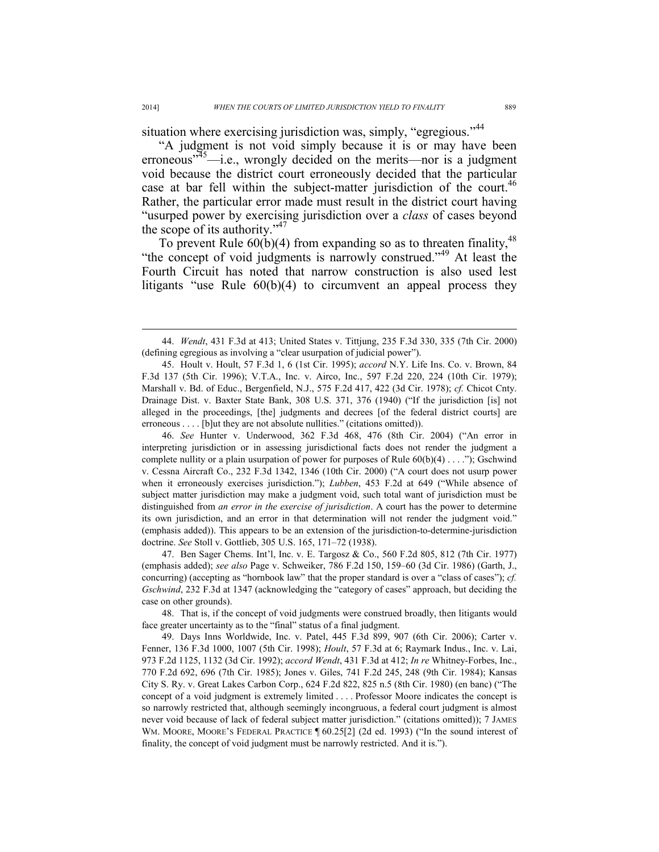situation where exercising jurisdiction was, simply, "egregious."<sup>44</sup>

"A judgment is not void simply because it is or may have been erroneous $13^{35}$ —i.e., wrongly decided on the merits—nor is a judgment void because the district court erroneously decided that the particular case at bar fell within the subject-matter jurisdiction of the court.<sup>46</sup> Rather, the particular error made must result in the district court having "usurped power by exercising jurisdiction over a *class* of cases beyond the scope of its authority."<sup>47</sup>

To prevent Rule  $60(b)(4)$  from expanding so as to threaten finality,<sup>48</sup> "the concept of void judgments is narrowly construed."<sup>49</sup> At least the Fourth Circuit has noted that narrow construction is also used lest litigants "use Rule 60(b)(4) to circumvent an appeal process they

 46. *See* Hunter v. Underwood, 362 F.3d 468, 476 (8th Cir. 2004) ("An error in interpreting jurisdiction or in assessing jurisdictional facts does not render the judgment a complete nullity or a plain usurpation of power for purposes of Rule 60(b)(4) . . . ."); Gschwind v. Cessna Aircraft Co., 232 F.3d 1342, 1346 (10th Cir. 2000) ("A court does not usurp power when it erroneously exercises jurisdiction."); *Lubben*, 453 F.2d at 649 ("While absence of subject matter jurisdiction may make a judgment void, such total want of jurisdiction must be distinguished from *an error in the exercise of jurisdiction*. A court has the power to determine its own jurisdiction, and an error in that determination will not render the judgment void." (emphasis added)). This appears to be an extension of the jurisdiction-to-determine-jurisdiction doctrine. *See* Stoll v. Gottlieb, 305 U.S. 165, 171–72 (1938).

 47. Ben Sager Chems. Int'l, Inc. v. E. Targosz & Co., 560 F.2d 805, 812 (7th Cir. 1977) (emphasis added); *see also* Page v. Schweiker, 786 F.2d 150, 159–60 (3d Cir. 1986) (Garth, J., concurring) (accepting as "hornbook law" that the proper standard is over a "class of cases"); *cf. Gschwind*, 232 F.3d at 1347 (acknowledging the "category of cases" approach, but deciding the case on other grounds).

 48. That is, if the concept of void judgments were construed broadly, then litigants would face greater uncertainty as to the "final" status of a final judgment.

 49. Days Inns Worldwide, Inc. v. Patel, 445 F.3d 899, 907 (6th Cir. 2006); Carter v. Fenner, 136 F.3d 1000, 1007 (5th Cir. 1998); *Hoult*, 57 F.3d at 6; Raymark Indus., Inc. v. Lai, 973 F.2d 1125, 1132 (3d Cir. 1992); *accord Wendt*, 431 F.3d at 412; *In re* Whitney-Forbes, Inc., 770 F.2d 692, 696 (7th Cir. 1985); Jones v. Giles, 741 F.2d 245, 248 (9th Cir. 1984); Kansas City S. Ry. v. Great Lakes Carbon Corp., 624 F.2d 822, 825 n.5 (8th Cir. 1980) (en banc) ("The concept of a void judgment is extremely limited . . . . Professor Moore indicates the concept is so narrowly restricted that, although seemingly incongruous, a federal court judgment is almost never void because of lack of federal subject matter jurisdiction." (citations omitted)); 7 JAMES WM. MOORE, MOORE'S FEDERAL PRACTICE ¶ 60.25[2] (2d ed. 1993) ("In the sound interest of finality, the concept of void judgment must be narrowly restricted. And it is.").

 <sup>44.</sup> *Wendt*, 431 F.3d at 413; United States v. Tittjung, 235 F.3d 330, 335 (7th Cir. 2000) (defining egregious as involving a "clear usurpation of judicial power").

 <sup>45.</sup> Hoult v. Hoult, 57 F.3d 1, 6 (1st Cir. 1995); *accord* N.Y. Life Ins. Co. v. Brown, 84 F.3d 137 (5th Cir. 1996); V.T.A., Inc. v. Airco, Inc., 597 F.2d 220, 224 (10th Cir. 1979); Marshall v. Bd. of Educ., Bergenfield, N.J., 575 F.2d 417, 422 (3d Cir. 1978); *cf.* Chicot Cnty. Drainage Dist. v. Baxter State Bank, 308 U.S. 371, 376 (1940) ("If the jurisdiction [is] not alleged in the proceedings, [the] judgments and decrees [of the federal district courts] are erroneous . . . . [b]ut they are not absolute nullities." (citations omitted)).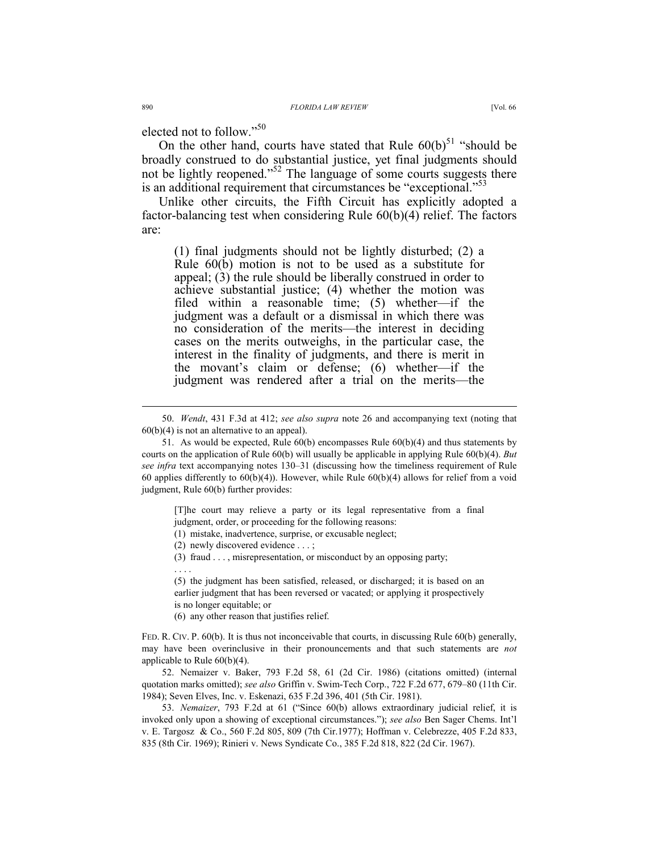elected not to follow."<sup>50</sup>

On the other hand, courts have stated that Rule  $60(b)^{51}$  "should be broadly construed to do substantial justice, yet final judgments should not be lightly reopened."<sup>52</sup> The language of some courts suggests there is an additional requirement that circumstances be "exceptional."<sup>53</sup>

Unlike other circuits, the Fifth Circuit has explicitly adopted a factor-balancing test when considering Rule 60(b)(4) relief. The factors are:

(1) final judgments should not be lightly disturbed; (2) a Rule 60(b) motion is not to be used as a substitute for appeal; (3) the rule should be liberally construed in order to achieve substantial justice; (4) whether the motion was filed within a reasonable time; (5) whether—if the judgment was a default or a dismissal in which there was no consideration of the merits—the interest in deciding cases on the merits outweighs, in the particular case, the interest in the finality of judgments, and there is merit in the movant's claim or defense; (6) whether—if the judgment was rendered after a trial on the merits—the

[T]he court may relieve a party or its legal representative from a final judgment, order, or proceeding for the following reasons:

(1) mistake, inadvertence, surprise, or excusable neglect;

(2) newly discovered evidence . . . ;

(3) fraud . . . , misrepresentation, or misconduct by an opposing party;

. . . .

(5) the judgment has been satisfied, released, or discharged; it is based on an earlier judgment that has been reversed or vacated; or applying it prospectively is no longer equitable; or

(6) any other reason that justifies relief.

FED. R. CIV. P. 60(b). It is thus not inconceivable that courts, in discussing Rule 60(b) generally, may have been overinclusive in their pronouncements and that such statements are *not* applicable to Rule 60(b)(4).

 52. Nemaizer v. Baker, 793 F.2d 58, 61 (2d Cir. 1986) (citations omitted) (internal quotation marks omitted); *see also* Griffin v. Swim-Tech Corp., 722 F.2d 677, 679–80 (11th Cir. 1984); Seven Elves, Inc. v. Eskenazi, 635 F.2d 396, 401 (5th Cir. 1981).

 53. *Nemaizer*, 793 F.2d at 61 ("Since 60(b) allows extraordinary judicial relief, it is invoked only upon a showing of exceptional circumstances."); *see also* Ben Sager Chems. Int'l v. E. Targosz & Co., 560 F.2d 805, 809 (7th Cir.1977); Hoffman v. Celebrezze, 405 F.2d 833, 835 (8th Cir. 1969); Rinieri v. News Syndicate Co., 385 F.2d 818, 822 (2d Cir. 1967).

 <sup>50.</sup> *Wendt*, 431 F.3d at 412; *see also supra* note 26 and accompanying text (noting that  $60(b)(4)$  is not an alternative to an appeal).

 <sup>51.</sup> As would be expected, Rule 60(b) encompasses Rule 60(b)(4) and thus statements by courts on the application of Rule 60(b) will usually be applicable in applying Rule 60(b)(4). *But see infra* text accompanying notes 130–31 (discussing how the timeliness requirement of Rule 60 applies differently to  $60(b)(4)$ ). However, while Rule  $60(b)(4)$  allows for relief from a void judgment, Rule 60(b) further provides: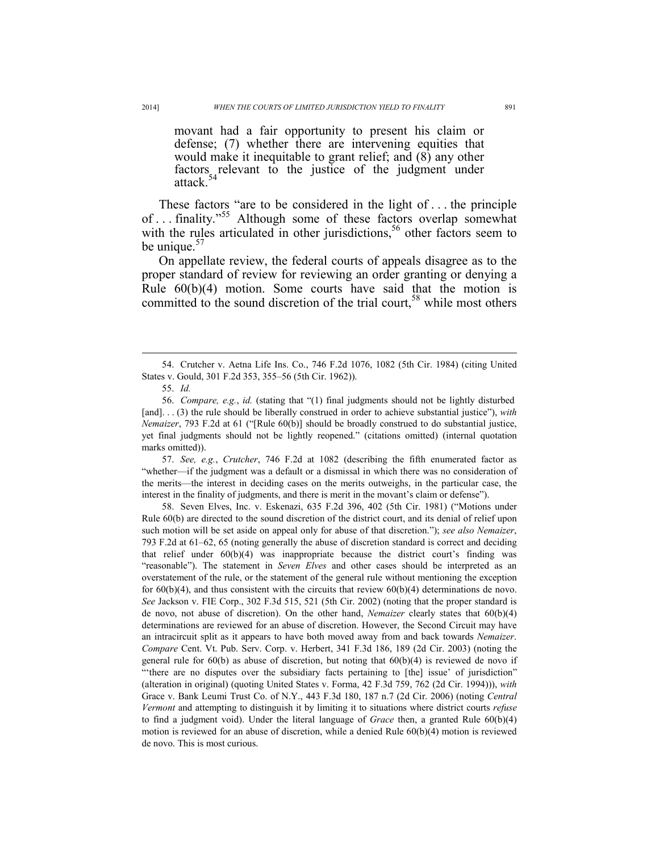movant had a fair opportunity to present his claim or defense; (7) whether there are intervening equities that would make it inequitable to grant relief; and (8) any other factors relevant to the justice of the judgment under attack.<sup>54</sup>

These factors "are to be considered in the light of . . . the principle of . . . finality."55 Although some of these factors overlap somewhat with the rules articulated in other jurisdictions,<sup>56</sup> other factors seem to be unique. $57$ 

On appellate review, the federal courts of appeals disagree as to the proper standard of review for reviewing an order granting or denying a Rule 60(b)(4) motion. Some courts have said that the motion is committed to the sound discretion of the trial court,<sup>58</sup> while most others

 $\overline{a}$ 

 57. *See, e.g.*, *Crutcher*, 746 F.2d at 1082 (describing the fifth enumerated factor as "whether—if the judgment was a default or a dismissal in which there was no consideration of the merits—the interest in deciding cases on the merits outweighs, in the particular case, the interest in the finality of judgments, and there is merit in the movant's claim or defense").

 58. Seven Elves, Inc. v. Eskenazi, 635 F.2d 396, 402 (5th Cir. 1981) ("Motions under Rule 60(b) are directed to the sound discretion of the district court, and its denial of relief upon such motion will be set aside on appeal only for abuse of that discretion."); *see also Nemaizer*, 793 F.2d at 61–62, 65 (noting generally the abuse of discretion standard is correct and deciding that relief under  $60(b)(4)$  was inappropriate because the district court's finding was "reasonable"). The statement in *Seven Elves* and other cases should be interpreted as an overstatement of the rule, or the statement of the general rule without mentioning the exception for  $60(b)(4)$ , and thus consistent with the circuits that review  $60(b)(4)$  determinations de novo. *See* Jackson v. FIE Corp., 302 F.3d 515, 521 (5th Cir. 2002) (noting that the proper standard is de novo, not abuse of discretion). On the other hand, *Nemaizer* clearly states that 60(b)(4) determinations are reviewed for an abuse of discretion. However, the Second Circuit may have an intracircuit split as it appears to have both moved away from and back towards *Nemaizer*. *Compare* Cent. Vt. Pub. Serv. Corp. v. Herbert, 341 F.3d 186, 189 (2d Cir. 2003) (noting the general rule for  $60(b)$  as abuse of discretion, but noting that  $60(b)(4)$  is reviewed de novo if "'there are no disputes over the subsidiary facts pertaining to [the] issue' of jurisdiction" (alteration in original) (quoting United States v. Forma, 42 F.3d 759, 762 (2d Cir. 1994))), *with*  Grace v. Bank Leumi Trust Co. of N.Y., 443 F.3d 180, 187 n.7 (2d Cir. 2006) (noting *Central Vermont* and attempting to distinguish it by limiting it to situations where district courts *refuse*  to find a judgment void). Under the literal language of *Grace* then, a granted Rule 60(b)(4) motion is reviewed for an abuse of discretion, while a denied Rule 60(b)(4) motion is reviewed de novo. This is most curious.

 <sup>54.</sup> Crutcher v. Aetna Life Ins. Co., 746 F.2d 1076, 1082 (5th Cir. 1984) (citing United States v. Gould, 301 F.2d 353, 355–56 (5th Cir. 1962)).

 <sup>55.</sup> *Id.*

 <sup>56.</sup> *Compare, e.g.*, *id.* (stating that "(1) final judgments should not be lightly disturbed [and]. . . (3) the rule should be liberally construed in order to achieve substantial justice"), *with Nemaizer*, 793 F.2d at 61 ("[Rule 60(b)] should be broadly construed to do substantial justice, yet final judgments should not be lightly reopened." (citations omitted) (internal quotation marks omitted)).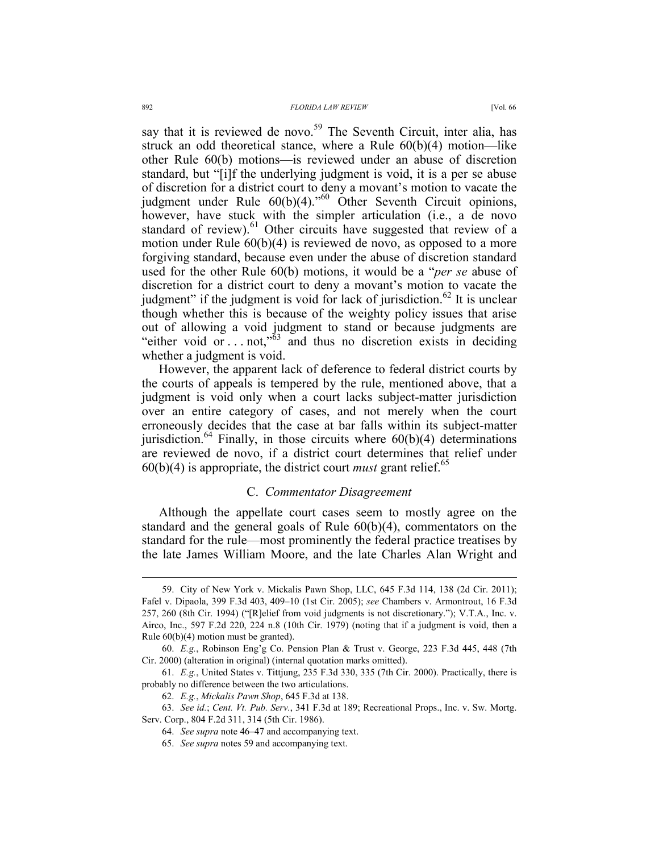say that it is reviewed de novo.<sup>59</sup> The Seventh Circuit, inter alia, has struck an odd theoretical stance, where a Rule 60(b)(4) motion—like other Rule 60(b) motions—is reviewed under an abuse of discretion standard, but "[i]f the underlying judgment is void, it is a per se abuse of discretion for a district court to deny a movant's motion to vacate the judgment under Rule  $60(b)(4)$ ."<sup>60</sup> Other Seventh Circuit opinions, however, have stuck with the simpler articulation (i.e., a de novo standard of review).<sup>61</sup> Other circuits have suggested that review of a motion under Rule 60(b)(4) is reviewed de novo, as opposed to a more forgiving standard, because even under the abuse of discretion standard used for the other Rule 60(b) motions, it would be a "*per se* abuse of discretion for a district court to deny a movant's motion to vacate the judgment" if the judgment is void for lack of jurisdiction.<sup>62</sup> It is unclear though whether this is because of the weighty policy issues that arise out of allowing a void judgment to stand or because judgments are "either void or . . not," $\frac{3}{3}$  and thus no discretion exists in deciding whether a judgment is void.

However, the apparent lack of deference to federal district courts by the courts of appeals is tempered by the rule, mentioned above, that a judgment is void only when a court lacks subject-matter jurisdiction over an entire category of cases, and not merely when the court erroneously decides that the case at bar falls within its subject-matter jurisdiction.<sup>64</sup> Finally, in those circuits where  $60(b)(4)$  determinations are reviewed de novo, if a district court determines that relief under  $60(b)(4)$  is appropriate, the district court *must* grant relief.<sup>65</sup>

# C. *Commentator Disagreement*

Although the appellate court cases seem to mostly agree on the standard and the general goals of Rule 60(b)(4), commentators on the standard for the rule—most prominently the federal practice treatises by the late James William Moore, and the late Charles Alan Wright and

 <sup>59.</sup> City of New York v. Mickalis Pawn Shop, LLC, 645 F.3d 114, 138 (2d Cir. 2011); Fafel v. Dipaola, 399 F.3d 403, 409–10 (1st Cir. 2005); *see* Chambers v. Armontrout, 16 F.3d 257, 260 (8th Cir. 1994) ("[R]elief from void judgments is not discretionary."); V.T.A., Inc. v. Airco, Inc., 597 F.2d 220, 224 n.8 (10th Cir. 1979) (noting that if a judgment is void, then a Rule 60(b)(4) motion must be granted).

 <sup>60.</sup> *E.g.*, Robinson Eng'g Co. Pension Plan & Trust v. George, 223 F.3d 445, 448 (7th Cir. 2000) (alteration in original) (internal quotation marks omitted).

 <sup>61.</sup> *E.g.*, United States v. Tittjung, 235 F.3d 330, 335 (7th Cir. 2000). Practically, there is probably no difference between the two articulations.

 <sup>62.</sup> *E.g.*, *Mickalis Pawn Shop*, 645 F.3d at 138.

 <sup>63.</sup> *See id.*; *Cent. Vt. Pub. Serv.*, 341 F.3d at 189; Recreational Props., Inc. v. Sw. Mortg. Serv. Corp., 804 F.2d 311, 314 (5th Cir. 1986).

 <sup>64.</sup> *See supra* note 46–47 and accompanying text.

 <sup>65.</sup> *See supra* notes 59 and accompanying text.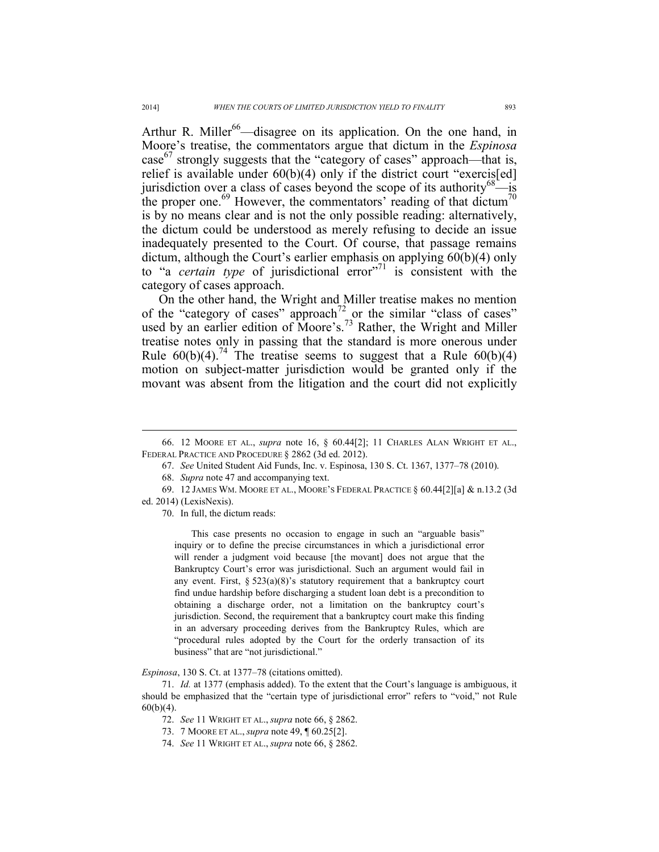Arthur R. Miller<sup>66</sup>—disagree on its application. On the one hand, in Moore's treatise, the commentators argue that dictum in the *Espinosa*  case $^{67}$  strongly suggests that the "category of cases" approach—that is, relief is available under  $60(b)(4)$  only if the district court "exercis[ed] jurisdiction over a class of cases beyond the scope of its authority $68 - i$ s the proper one.<sup>69</sup> However, the commentators' reading of that dictum<sup>70</sup> is by no means clear and is not the only possible reading: alternatively, the dictum could be understood as merely refusing to decide an issue inadequately presented to the Court. Of course, that passage remains dictum, although the Court's earlier emphasis on applying 60(b)(4) only to "a *certain type* of jurisdictional error"<sup>71</sup> is consistent with the category of cases approach.

On the other hand, the Wright and Miller treatise makes no mention of the "category of cases" approach<sup>72</sup> or the similar "class of cases" used by an earlier edition of Moore's.<sup>73</sup> Rather, the Wright and Miller treatise notes only in passing that the standard is more onerous under Rule  $60(b)(4)$ .<sup>74</sup> The treatise seems to suggest that a Rule  $60(b)(4)$ motion on subject-matter jurisdiction would be granted only if the movant was absent from the litigation and the court did not explicitly

70. In full, the dictum reads:

This case presents no occasion to engage in such an "arguable basis" inquiry or to define the precise circumstances in which a jurisdictional error will render a judgment void because [the movant] does not argue that the Bankruptcy Court's error was jurisdictional. Such an argument would fail in any event. First,  $\S 523(a)(8)$ 's statutory requirement that a bankruptcy court find undue hardship before discharging a student loan debt is a precondition to obtaining a discharge order, not a limitation on the bankruptcy court's jurisdiction. Second, the requirement that a bankruptcy court make this finding in an adversary proceeding derives from the Bankruptcy Rules, which are "procedural rules adopted by the Court for the orderly transaction of its business" that are "not jurisdictional."

#### *Espinosa*, 130 S. Ct. at 1377–78 (citations omitted).

 71. *Id.* at 1377 (emphasis added). To the extent that the Court's language is ambiguous, it should be emphasized that the "certain type of jurisdictional error" refers to "void," not Rule 60(b)(4).

- 72. *See* 11 WRIGHT ET AL., *supra* note 66, § 2862.
- 73. 7 MOORE ET AL., *supra* note 49, ¶ 60.25[2].
- 74. *See* 11 WRIGHT ET AL., *supra* note 66, § 2862.

 <sup>66. 12</sup> MOORE ET AL., *supra* note 16, § 60.44[2]; 11 CHARLES ALAN WRIGHT ET AL., FEDERAL PRACTICE AND PROCEDURE § 2862 (3d ed. 2012).

 <sup>67.</sup> *See* United Student Aid Funds, Inc. v. Espinosa, 130 S. Ct. 1367, 1377–78 (2010).

 <sup>68.</sup> *Supra* note 47 and accompanying text.

 <sup>69. 12</sup> JAMES WM. MOORE ET AL., MOORE'S FEDERAL PRACTICE § 60.44[2][a] & n.13.2 (3d ed. 2014) (LexisNexis).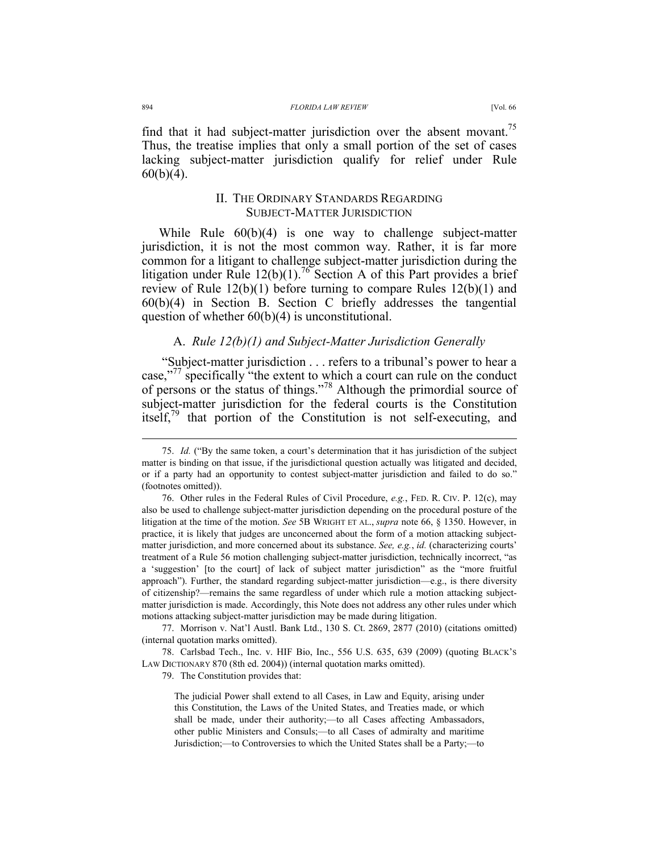find that it had subject-matter jurisdiction over the absent movant.<sup>75</sup> Thus, the treatise implies that only a small portion of the set of cases lacking subject-matter jurisdiction qualify for relief under Rule  $60(b)(4)$ .

# II. THE ORDINARY STANDARDS REGARDING SUBJECT-MATTER JURISDICTION

While Rule 60(b)(4) is one way to challenge subject-matter jurisdiction, it is not the most common way. Rather, it is far more common for a litigant to challenge subject-matter jurisdiction during the litigation under Rule  $12(b)(1)$ .<sup>76</sup> Section A of this Part provides a brief review of Rule 12(b)(1) before turning to compare Rules 12(b)(1) and 60(b)(4) in Section B. Section C briefly addresses the tangential question of whether  $60(b)(4)$  is unconstitutional.

# A. *Rule 12(b)(1) and Subject-Matter Jurisdiction Generally*

 "Subject-matter jurisdiction . . . refers to a tribunal's power to hear a case,"<sup>77</sup> specifically "the extent to which a court can rule on the conduct of persons or the status of things."78 Although the primordial source of subject-matter jurisdiction for the federal courts is the Constitution itself,<sup>79</sup> that portion of the Constitution is not self-executing, and

 77. Morrison v. Nat'l Austl. Bank Ltd., 130 S. Ct. 2869, 2877 (2010) (citations omitted) (internal quotation marks omitted).

 78. Carlsbad Tech., Inc. v. HIF Bio, Inc., 556 U.S. 635, 639 (2009) (quoting BLACK'S LAW DICTIONARY 870 (8th ed. 2004)) (internal quotation marks omitted).

79. The Constitution provides that:

 <sup>75.</sup> *Id.* ("By the same token, a court's determination that it has jurisdiction of the subject matter is binding on that issue, if the jurisdictional question actually was litigated and decided, or if a party had an opportunity to contest subject-matter jurisdiction and failed to do so." (footnotes omitted)).

 <sup>76.</sup> Other rules in the Federal Rules of Civil Procedure, *e.g.*, FED. R. CIV. P. 12(c), may also be used to challenge subject-matter jurisdiction depending on the procedural posture of the litigation at the time of the motion. *See* 5B WRIGHT ET AL., *supra* note 66, § 1350. However, in practice, it is likely that judges are unconcerned about the form of a motion attacking subjectmatter jurisdiction, and more concerned about its substance. *See, e.g.*, *id.* (characterizing courts' treatment of a Rule 56 motion challenging subject-matter jurisdiction, technically incorrect, "as a 'suggestion' [to the court] of lack of subject matter jurisdiction" as the "more fruitful approach"). Further, the standard regarding subject-matter jurisdiction—e.g., is there diversity of citizenship?—remains the same regardless of under which rule a motion attacking subjectmatter jurisdiction is made. Accordingly, this Note does not address any other rules under which motions attacking subject-matter jurisdiction may be made during litigation.

The judicial Power shall extend to all Cases, in Law and Equity, arising under this Constitution, the Laws of the United States, and Treaties made, or which shall be made, under their authority;—to all Cases affecting Ambassadors, other public Ministers and Consuls;—to all Cases of admiralty and maritime Jurisdiction;—to Controversies to which the United States shall be a Party;—to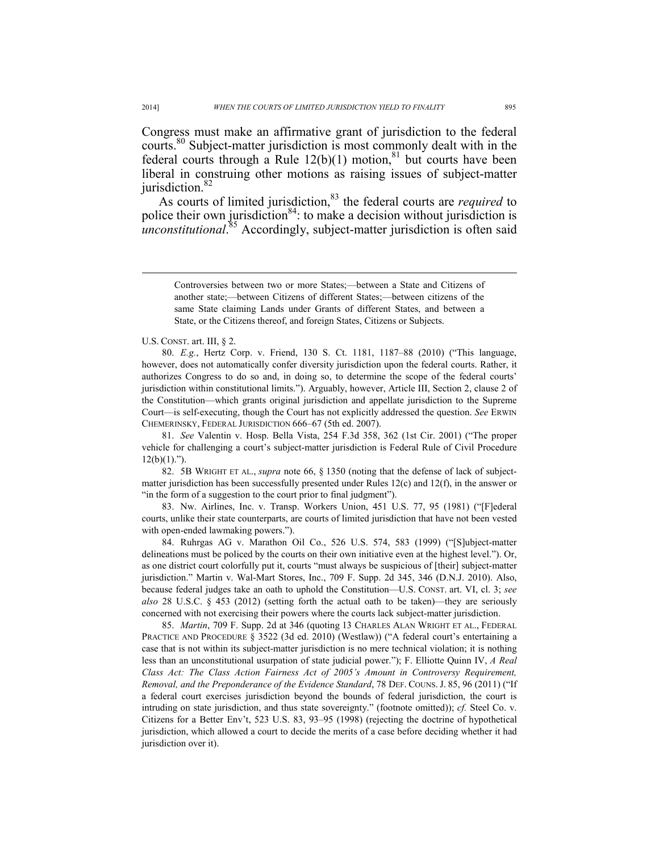Congress must make an affirmative grant of jurisdiction to the federal courts.80 Subject-matter jurisdiction is most commonly dealt with in the federal courts through a Rule  $12(b)(1)$  motion,<sup>81</sup> but courts have been liberal in construing other motions as raising issues of subject-matter jurisdiction.<sup>82</sup>

As courts of limited jurisdiction,<sup>83</sup> the federal courts are *required* to police their own jurisdiction<sup>84</sup>: to make a decision without jurisdiction is *unconstitutional*. 85 Accordingly, subject-matter jurisdiction is often said

 80. *E.g.*, Hertz Corp. v. Friend, 130 S. Ct. 1181, 1187–88 (2010) ("This language, however, does not automatically confer diversity jurisdiction upon the federal courts. Rather, it authorizes Congress to do so and, in doing so, to determine the scope of the federal courts' jurisdiction within constitutional limits."). Arguably, however, Article III, Section 2, clause 2 of the Constitution—which grants original jurisdiction and appellate jurisdiction to the Supreme Court—is self-executing, though the Court has not explicitly addressed the question. *See* ERWIN CHEMERINSKY, FEDERAL JURISDICTION 666–67 (5th ed. 2007).

 81. *See* Valentin v. Hosp. Bella Vista, 254 F.3d 358, 362 (1st Cir. 2001) ("The proper vehicle for challenging a court's subject-matter jurisdiction is Federal Rule of Civil Procedure  $12(b)(1)$ .").

 82. 5B WRIGHT ET AL., *supra* note 66, § 1350 (noting that the defense of lack of subjectmatter jurisdiction has been successfully presented under Rules  $12(c)$  and  $12(f)$ , in the answer or "in the form of a suggestion to the court prior to final judgment").

 83. Nw. Airlines, Inc. v. Transp. Workers Union, 451 U.S. 77, 95 (1981) ("[F]ederal courts, unlike their state counterparts, are courts of limited jurisdiction that have not been vested with open-ended lawmaking powers.").

 84. Ruhrgas AG v. Marathon Oil Co., 526 U.S. 574, 583 (1999) ("[S]ubject-matter delineations must be policed by the courts on their own initiative even at the highest level."). Or, as one district court colorfully put it, courts "must always be suspicious of [their] subject-matter jurisdiction." Martin v. Wal-Mart Stores, Inc., 709 F. Supp. 2d 345, 346 (D.N.J. 2010). Also, because federal judges take an oath to uphold the Constitution—U.S. CONST. art. VI, cl. 3; *see also* 28 U.S.C. § 453 (2012) (setting forth the actual oath to be taken)—they are seriously concerned with not exercising their powers where the courts lack subject-matter jurisdiction.

 85. *Martin*, 709 F. Supp. 2d at 346 (quoting 13 CHARLES ALAN WRIGHT ET AL., FEDERAL PRACTICE AND PROCEDURE § 3522 (3d ed. 2010) (Westlaw)) ("A federal court's entertaining a case that is not within its subject-matter jurisdiction is no mere technical violation; it is nothing less than an unconstitutional usurpation of state judicial power."); F. Elliotte Quinn IV, *A Real Class Act: The Class Action Fairness Act of 2005's Amount in Controversy Requirement, Removal, and the Preponderance of the Evidence Standard*, 78 DEF. COUNS. J. 85, 96 (2011) ("If a federal court exercises jurisdiction beyond the bounds of federal jurisdiction, the court is intruding on state jurisdiction, and thus state sovereignty." (footnote omitted)); *cf.* Steel Co. v. Citizens for a Better Env't, 523 U.S. 83, 93–95 (1998) (rejecting the doctrine of hypothetical jurisdiction, which allowed a court to decide the merits of a case before deciding whether it had jurisdiction over it).

Controversies between two or more States;—between a State and Citizens of another state;—between Citizens of different States;—between citizens of the same State claiming Lands under Grants of different States, and between a State, or the Citizens thereof, and foreign States, Citizens or Subjects.

U.S. CONST. art. III, § 2.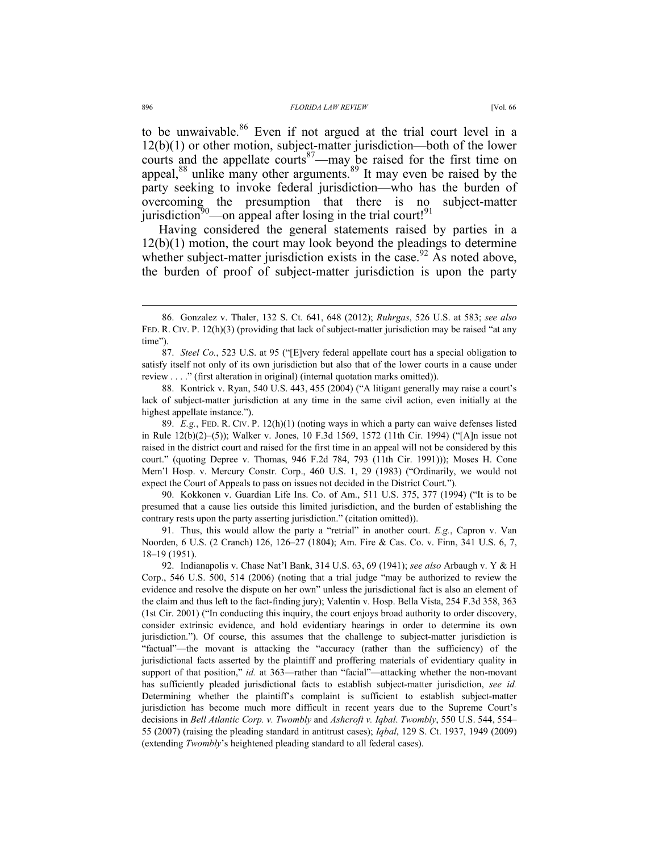courts and the appellate courts<sup>87</sup>—may be raised for the first time on appeal, $88$  unlike many other arguments. $89$  It may even be raised by the party seeking to invoke federal jurisdiction—who has the burden of overcoming the presumption that there is no subject-matter jurisdiction<sup>90</sup>—on appeal after losing in the trial court!<sup>91</sup>

Having considered the general statements raised by parties in a 12(b)(1) motion, the court may look beyond the pleadings to determine whether subject-matter jurisdiction exists in the case.<sup>92</sup> As noted above, the burden of proof of subject-matter jurisdiction is upon the party

 89. *E.g.*, FED. R. CIV. P. 12(h)(1) (noting ways in which a party can waive defenses listed in Rule 12(b)(2)–(5)); Walker v. Jones, 10 F.3d 1569, 1572 (11th Cir. 1994) ("[A]n issue not raised in the district court and raised for the first time in an appeal will not be considered by this court." (quoting Depree v. Thomas, 946 F.2d 784, 793 (11th Cir. 1991))); Moses H. Cone Mem'l Hosp. v. Mercury Constr. Corp., 460 U.S. 1, 29 (1983) ("Ordinarily, we would not expect the Court of Appeals to pass on issues not decided in the District Court.").

 90. Kokkonen v. Guardian Life Ins. Co. of Am., 511 U.S. 375, 377 (1994) ("It is to be presumed that a cause lies outside this limited jurisdiction, and the burden of establishing the contrary rests upon the party asserting jurisdiction." (citation omitted)).

 91. Thus, this would allow the party a "retrial" in another court. *E.g.*, Capron v. Van Noorden, 6 U.S. (2 Cranch) 126, 126–27 (1804); Am. Fire & Cas. Co. v. Finn, 341 U.S. 6, 7, 18–19 (1951).

 92. Indianapolis v. Chase Nat'l Bank, 314 U.S. 63, 69 (1941); *see also* Arbaugh v. Y & H Corp., 546 U.S. 500, 514 (2006) (noting that a trial judge "may be authorized to review the evidence and resolve the dispute on her own" unless the jurisdictional fact is also an element of the claim and thus left to the fact-finding jury); Valentin v. Hosp. Bella Vista, 254 F.3d 358, 363 (1st Cir. 2001) ("In conducting this inquiry, the court enjoys broad authority to order discovery, consider extrinsic evidence, and hold evidentiary hearings in order to determine its own jurisdiction."). Of course, this assumes that the challenge to subject-matter jurisdiction is "factual"—the movant is attacking the "accuracy (rather than the sufficiency) of the jurisdictional facts asserted by the plaintiff and proffering materials of evidentiary quality in support of that position," *id.* at 363—rather than "facial"—attacking whether the non-movant has sufficiently pleaded jurisdictional facts to establish subject-matter jurisdiction, *see id.* Determining whether the plaintiff's complaint is sufficient to establish subject-matter jurisdiction has become much more difficult in recent years due to the Supreme Court's decisions in *Bell Atlantic Corp. v. Twombly* and *Ashcroft v. Iqbal*. *Twombly*, 550 U.S. 544, 554– 55 (2007) (raising the pleading standard in antitrust cases); *Iqbal*, 129 S. Ct. 1937, 1949 (2009) (extending *Twombly*'s heightened pleading standard to all federal cases).

 <sup>86.</sup> Gonzalez v. Thaler, 132 S. Ct. 641, 648 (2012); *Ruhrgas*, 526 U.S. at 583; *see also* FED. R. CIV. P. 12(h)(3) (providing that lack of subject-matter jurisdiction may be raised "at any time").

 <sup>87.</sup> *Steel Co.*, 523 U.S. at 95 ("[E]very federal appellate court has a special obligation to satisfy itself not only of its own jurisdiction but also that of the lower courts in a cause under review . . . ." (first alteration in original) (internal quotation marks omitted)).

 <sup>88.</sup> Kontrick v. Ryan, 540 U.S. 443, 455 (2004) ("A litigant generally may raise a court's lack of subject-matter jurisdiction at any time in the same civil action, even initially at the highest appellate instance.").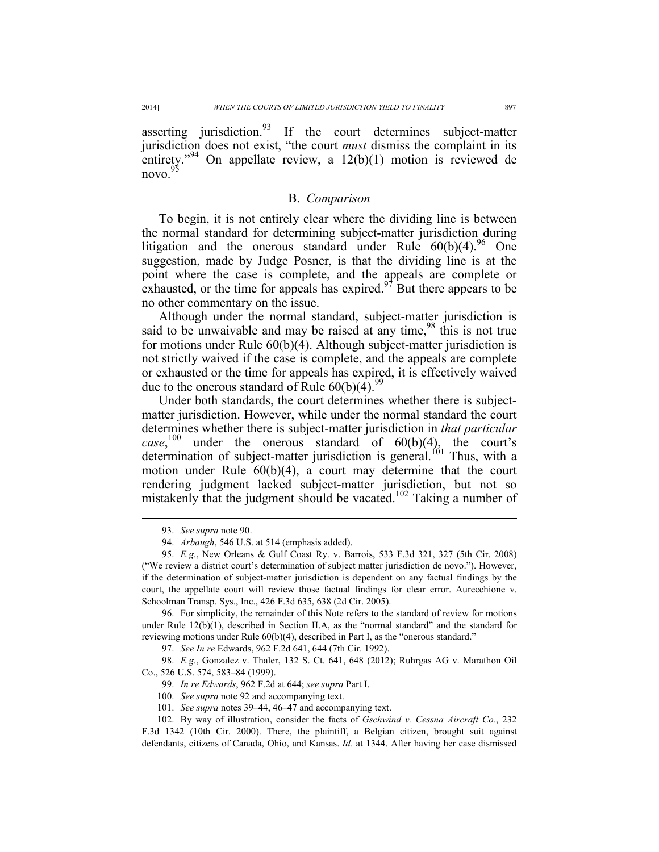asserting jurisdiction. $93$  If the court determines subject-matter jurisdiction does not exist, "the court *must* dismiss the complaint in its entirety."<sup>94</sup> On appellate review, a  $12(b)(1)$  motion is reviewed de  $novo.<sup>95</sup>$ 

## B. *Comparison*

To begin, it is not entirely clear where the dividing line is between the normal standard for determining subject-matter jurisdiction during litigation and the onerous standard under Rule  $60(b)(4)$ .<sup>96</sup> One suggestion, made by Judge Posner, is that the dividing line is at the point where the case is complete, and the appeals are complete or exhausted, or the time for appeals has expired. $97$  But there appears to be no other commentary on the issue.

Although under the normal standard, subject-matter jurisdiction is said to be unwaivable and may be raised at any time,  $\frac{98}{98}$  this is not true for motions under Rule 60(b)(4). Although subject-matter jurisdiction is not strictly waived if the case is complete, and the appeals are complete or exhausted or the time for appeals has expired, it is effectively waived due to the onerous standard of Rule  $60(b)(4)$ .<sup>99</sup>

Under both standards, the court determines whether there is subjectmatter jurisdiction. However, while under the normal standard the court determines whether there is subject-matter jurisdiction in *that particular case*<sup>100</sup> under the onerous standard of  $60(b)(4)$ , the court's determination of subject-matter jurisdiction is general.<sup>101</sup> Thus, with a motion under Rule 60(b)(4), a court may determine that the court rendering judgment lacked subject-matter jurisdiction, but not so mistakenly that the judgment should be vacated.<sup>102</sup> Taking a number of

 $\overline{a}$ 

 96. For simplicity, the remainder of this Note refers to the standard of review for motions under Rule  $12(b)(1)$ , described in Section II.A, as the "normal standard" and the standard for reviewing motions under Rule 60(b)(4), described in Part I, as the "onerous standard."

97. *See In re* Edwards, 962 F.2d 641, 644 (7th Cir. 1992).

 98. *E.g.*, Gonzalez v. Thaler, 132 S. Ct. 641, 648 (2012); Ruhrgas AG v. Marathon Oil Co., 526 U.S. 574, 583–84 (1999).

99. *In re Edwards*, 962 F.2d at 644; *see supra* Part I.

100. *See supra* note 92 and accompanying text.

101. *See supra* notes 39–44, 46–47 and accompanying text.

 <sup>93.</sup> *See supra* note 90.

 <sup>94.</sup> *Arbaugh*, 546 U.S. at 514 (emphasis added).

 <sup>95.</sup> *E.g.*, New Orleans & Gulf Coast Ry. v. Barrois, 533 F.3d 321, 327 (5th Cir. 2008) ("We review a district court's determination of subject matter jurisdiction de novo."). However, if the determination of subject-matter jurisdiction is dependent on any factual findings by the court, the appellate court will review those factual findings for clear error. Aurecchione v. Schoolman Transp. Sys., Inc., 426 F.3d 635, 638 (2d Cir. 2005).

 <sup>102.</sup> By way of illustration, consider the facts of *Gschwind v. Cessna Aircraft Co.*, 232 F.3d 1342 (10th Cir. 2000). There, the plaintiff, a Belgian citizen, brought suit against defendants, citizens of Canada, Ohio, and Kansas. *Id*. at 1344. After having her case dismissed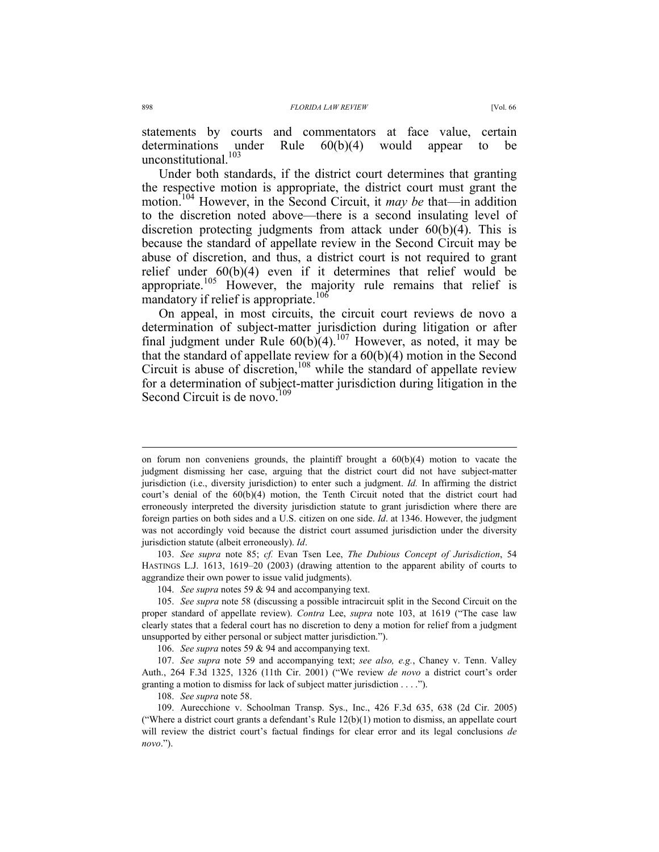statements by courts and commentators at face value, certain determinations under Rule  $60(b)(4)$  would appear to be unconstitutional.<sup>103</sup>

Under both standards, if the district court determines that granting the respective motion is appropriate, the district court must grant the motion.104 However, in the Second Circuit, it *may be* that—in addition to the discretion noted above—there is a second insulating level of discretion protecting judgments from attack under 60(b)(4). This is because the standard of appellate review in the Second Circuit may be abuse of discretion, and thus, a district court is not required to grant relief under 60(b)(4) even if it determines that relief would be appropriate.<sup>105</sup> However, the majority rule remains that relief is mandatory if relief is appropriate.<sup>106</sup>

On appeal, in most circuits, the circuit court reviews de novo a determination of subject-matter jurisdiction during litigation or after final judgment under Rule  $60(b)(4)$ .<sup>107</sup> However, as noted, it may be that the standard of appellate review for a 60(b)(4) motion in the Second Circuit is abuse of discretion,<sup>108</sup> while the standard of appellate review for a determination of subject-matter jurisdiction during litigation in the Second Circuit is de novo.<sup>109</sup>

108. *See supra* note 58.

on forum non conveniens grounds, the plaintiff brought a  $60(b)(4)$  motion to vacate the judgment dismissing her case, arguing that the district court did not have subject-matter jurisdiction (i.e., diversity jurisdiction) to enter such a judgment. *Id.* In affirming the district court's denial of the 60(b)(4) motion, the Tenth Circuit noted that the district court had erroneously interpreted the diversity jurisdiction statute to grant jurisdiction where there are foreign parties on both sides and a U.S. citizen on one side. *Id*. at 1346. However, the judgment was not accordingly void because the district court assumed jurisdiction under the diversity jurisdiction statute (albeit erroneously). *Id*.

 <sup>103.</sup> *See supra* note 85; *cf.* Evan Tsen Lee, *The Dubious Concept of Jurisdiction*, 54 HASTINGS L.J. 1613, 1619–20 (2003) (drawing attention to the apparent ability of courts to aggrandize their own power to issue valid judgments).

 <sup>104.</sup> *See supra* notes 59 & 94 and accompanying text.

 <sup>105.</sup> *See supra* note 58 (discussing a possible intracircuit split in the Second Circuit on the proper standard of appellate review). *Contra* Lee, *supra* note 103, at 1619 ("The case law clearly states that a federal court has no discretion to deny a motion for relief from a judgment unsupported by either personal or subject matter jurisdiction.").

 <sup>106.</sup> *See supra* notes 59 & 94 and accompanying text.

 <sup>107.</sup> *See supra* note 59 and accompanying text; *see also, e.g.*, Chaney v. Tenn. Valley Auth., 264 F.3d 1325, 1326 (11th Cir. 2001) ("We review *de novo* a district court's order granting a motion to dismiss for lack of subject matter jurisdiction . . . .").

 <sup>109.</sup> Aurecchione v. Schoolman Transp. Sys., Inc., 426 F.3d 635, 638 (2d Cir. 2005) ("Where a district court grants a defendant's Rule 12(b)(1) motion to dismiss, an appellate court will review the district court's factual findings for clear error and its legal conclusions *de novo*.").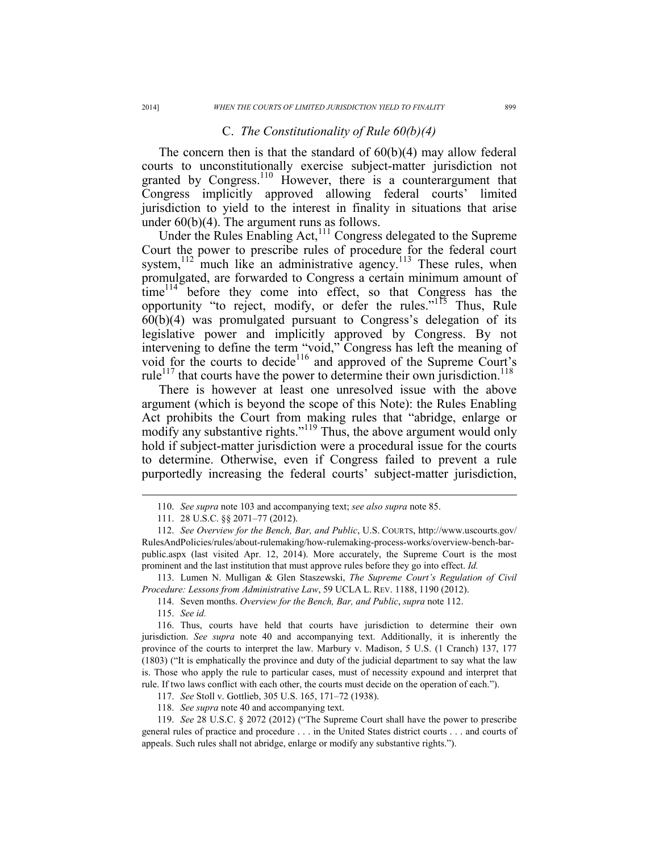### C. *The Constitutionality of Rule 60(b)(4)*

The concern then is that the standard of 60(b)(4) may allow federal courts to unconstitutionally exercise subject-matter jurisdiction not granted by Congress.<sup>110</sup> However, there is a counterargument that Congress implicitly approved allowing federal courts' limited jurisdiction to yield to the interest in finality in situations that arise under 60(b)(4). The argument runs as follows.

Under the Rules Enabling Act,<sup>111</sup> Congress delegated to the Supreme Court the power to prescribe rules of procedure for the federal court system, $112$  much like an administrative agency.<sup>113</sup> These rules, when promulgated, are forwarded to Congress a certain minimum amount of  $time<sup>114</sup>$  before they come into effect, so that Congress has the opportunity "to reject, modify, or defer the rules."<sup>115</sup> Thus, Rule 60(b)(4) was promulgated pursuant to Congress's delegation of its legislative power and implicitly approved by Congress. By not intervening to define the term "void," Congress has left the meaning of void for the courts to decide<sup>116</sup> and approved of the Supreme Court's rule<sup>117</sup> that courts have the power to determine their own jurisdiction.<sup>118</sup>

There is however at least one unresolved issue with the above argument (which is beyond the scope of this Note): the Rules Enabling Act prohibits the Court from making rules that "abridge, enlarge or modify any substantive rights."<sup>119</sup> Thus, the above argument would only hold if subject-matter jurisdiction were a procedural issue for the courts to determine. Otherwise, even if Congress failed to prevent a rule purportedly increasing the federal courts' subject-matter jurisdiction,

 113. Lumen N. Mulligan & Glen Staszewski, *The Supreme Court's Regulation of Civil Procedure: Lessons from Administrative Law*, 59 UCLA L. REV. 1188, 1190 (2012).

 $\overline{a}$ 

118. *See supra* note 40 and accompanying text.

 <sup>110.</sup> *See supra* note 103 and accompanying text; *see also supra* note 85.

 <sup>111. 28</sup> U.S.C. §§ 2071–77 (2012).

 <sup>112.</sup> *See Overview for the Bench, Bar, and Public*, U.S. COURTS, http://www.uscourts.gov/ RulesAndPolicies/rules/about-rulemaking/how-rulemaking-process-works/overview-bench-barpublic.aspx (last visited Apr. 12, 2014). More accurately, the Supreme Court is the most prominent and the last institution that must approve rules before they go into effect. *Id.*

 <sup>114.</sup> Seven months. *Overview for the Bench, Bar, and Public*, *supra* note 112.

 <sup>115.</sup> *See id.*

 <sup>116.</sup> Thus, courts have held that courts have jurisdiction to determine their own jurisdiction. *See supra* note 40 and accompanying text. Additionally, it is inherently the province of the courts to interpret the law. Marbury v. Madison, 5 U.S. (1 Cranch) 137, 177 (1803) ("It is emphatically the province and duty of the judicial department to say what the law is. Those who apply the rule to particular cases, must of necessity expound and interpret that rule. If two laws conflict with each other, the courts must decide on the operation of each.").

 <sup>117.</sup> *See* Stoll v. Gottlieb, 305 U.S. 165, 171–72 (1938).

 <sup>119.</sup> *See* 28 U.S.C. § 2072 (2012) ("The Supreme Court shall have the power to prescribe general rules of practice and procedure . . . in the United States district courts . . . and courts of appeals. Such rules shall not abridge, enlarge or modify any substantive rights.").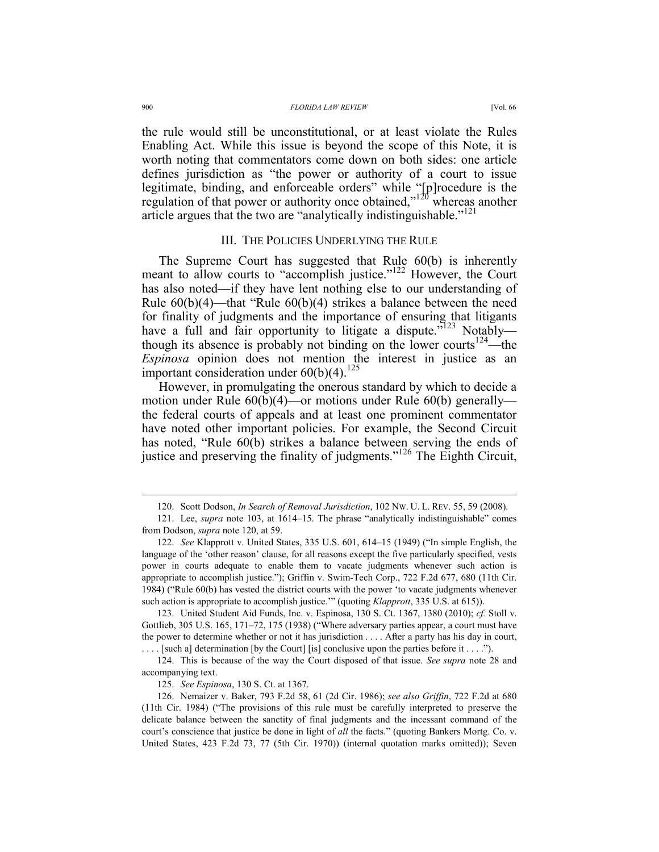the rule would still be unconstitutional, or at least violate the Rules Enabling Act. While this issue is beyond the scope of this Note, it is worth noting that commentators come down on both sides: one article defines jurisdiction as "the power or authority of a court to issue legitimate, binding, and enforceable orders" while "[p]rocedure is the regulation of that power or authority once obtained,"<sup>120</sup> whereas another article argues that the two are "analytically indistinguishable."<sup>121</sup>

### III. THE POLICIES UNDERLYING THE RULE

The Supreme Court has suggested that Rule 60(b) is inherently meant to allow courts to "accomplish justice."<sup>122</sup> However, the Court has also noted—if they have lent nothing else to our understanding of Rule 60(b)(4)—that "Rule 60(b)(4) strikes a balance between the need for finality of judgments and the importance of ensuring that litigants have a full and fair opportunity to litigate a dispute."<sup>123</sup> Notably though its absence is probably not binding on the lower courts<sup>124</sup>—the *Espinosa* opinion does not mention the interest in justice as an important consideration under  $60(b)(4)$ .<sup>125</sup>

However, in promulgating the onerous standard by which to decide a motion under Rule 60(b)(4)—or motions under Rule 60(b) generally the federal courts of appeals and at least one prominent commentator have noted other important policies. For example, the Second Circuit has noted, "Rule 60(b) strikes a balance between serving the ends of justice and preserving the finality of judgments."126 The Eighth Circuit,

 123. United Student Aid Funds, Inc. v. Espinosa, 130 S. Ct. 1367, 1380 (2010); *cf.* Stoll v. Gottlieb, 305 U.S. 165, 171–72, 175 (1938) ("Where adversary parties appear, a court must have the power to determine whether or not it has jurisdiction . . . . After a party has his day in court, . . . . [such a] determination [by the Court] [is] conclusive upon the parties before it . . . .").

 <sup>120.</sup> Scott Dodson, *In Search of Removal Jurisdiction*, 102 NW. U. L. REV. 55, 59 (2008).

 <sup>121.</sup> Lee, *supra* note 103, at 1614–15. The phrase "analytically indistinguishable" comes from Dodson, *supra* note 120, at 59.

 <sup>122.</sup> *See* Klapprott v. United States, 335 U.S. 601, 614–15 (1949) ("In simple English, the language of the 'other reason' clause, for all reasons except the five particularly specified, vests power in courts adequate to enable them to vacate judgments whenever such action is appropriate to accomplish justice."); Griffin v. Swim-Tech Corp., 722 F.2d 677, 680 (11th Cir. 1984) ("Rule 60(b) has vested the district courts with the power 'to vacate judgments whenever such action is appropriate to accomplish justice.'" (quoting *Klapprott*, 335 U.S. at 615)).

 <sup>124.</sup> This is because of the way the Court disposed of that issue. *See supra* note 28 and accompanying text.

 <sup>125.</sup> *See Espinosa*, 130 S. Ct. at 1367.

 <sup>126.</sup> Nemaizer v. Baker, 793 F.2d 58, 61 (2d Cir. 1986); *see also Griffin*, 722 F.2d at 680 (11th Cir. 1984) ("The provisions of this rule must be carefully interpreted to preserve the delicate balance between the sanctity of final judgments and the incessant command of the court's conscience that justice be done in light of *all* the facts." (quoting Bankers Mortg. Co. v. United States, 423 F.2d 73, 77 (5th Cir. 1970)) (internal quotation marks omitted)); Seven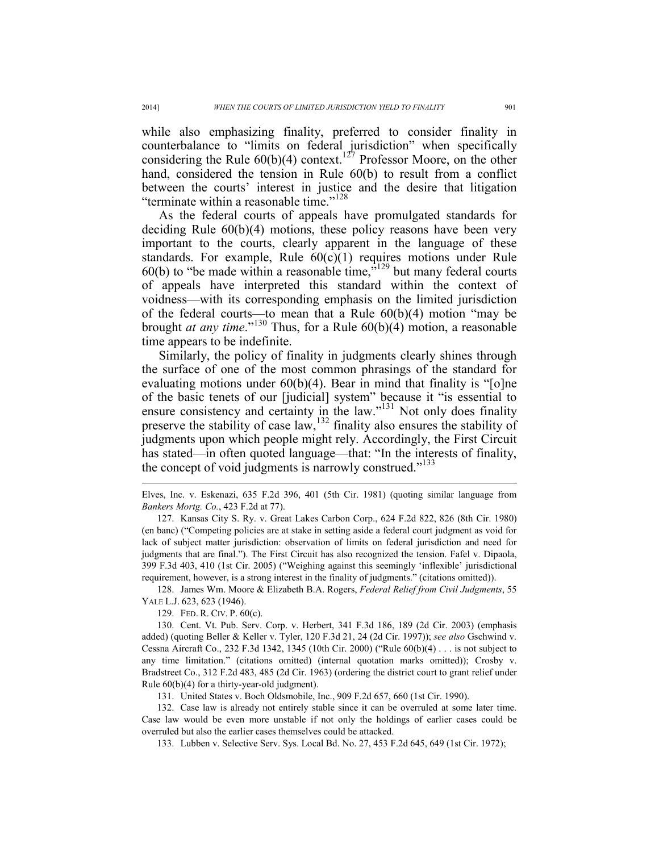while also emphasizing finality, preferred to consider finality in counterbalance to "limits on federal jurisdiction" when specifically considering the Rule  $60(b)(4)$  context.<sup>127</sup> Professor Moore, on the other hand, considered the tension in Rule 60(b) to result from a conflict between the courts' interest in justice and the desire that litigation "terminate within a reasonable time."<sup>128</sup>

As the federal courts of appeals have promulgated standards for deciding Rule 60(b)(4) motions, these policy reasons have been very important to the courts, clearly apparent in the language of these standards. For example, Rule 60(c)(1) requires motions under Rule 60(b) to "be made within a reasonable time,"129 but many federal courts of appeals have interpreted this standard within the context of voidness—with its corresponding emphasis on the limited jurisdiction of the federal courts—to mean that a Rule 60(b)(4) motion "may be brought *at any time*."130 Thus, for a Rule 60(b)(4) motion, a reasonable time appears to be indefinite.

Similarly, the policy of finality in judgments clearly shines through the surface of one of the most common phrasings of the standard for evaluating motions under 60(b)(4). Bear in mind that finality is "[o]ne of the basic tenets of our [judicial] system" because it "is essential to ensure consistency and certainty in the law."<sup>131</sup> Not only does finality preserve the stability of case  $\text{law}$ ,  $^{132}$  finality also ensures the stability of judgments upon which people might rely. Accordingly, the First Circuit has stated—in often quoted language—that: "In the interests of finality, the concept of void judgments is narrowly construed."<sup>133</sup>

Elves, Inc. v. Eskenazi, 635 F.2d 396, 401 (5th Cir. 1981) (quoting similar language from *Bankers Mortg. Co.*, 423 F.2d at 77).

 127. Kansas City S. Ry. v. Great Lakes Carbon Corp., 624 F.2d 822, 826 (8th Cir. 1980) (en banc) ("Competing policies are at stake in setting aside a federal court judgment as void for lack of subject matter jurisdiction: observation of limits on federal jurisdiction and need for judgments that are final."). The First Circuit has also recognized the tension. Fafel v. Dipaola, 399 F.3d 403, 410 (1st Cir. 2005) ("Weighing against this seemingly 'inflexible' jurisdictional requirement, however, is a strong interest in the finality of judgments." (citations omitted)).

 128. James Wm. Moore & Elizabeth B.A. Rogers, *Federal Relief from Civil Judgments*, 55 YALE L.J. 623, 623 (1946).

129. FED. R. CIV. P. 60(c).

 130. Cent. Vt. Pub. Serv. Corp. v. Herbert, 341 F.3d 186, 189 (2d Cir. 2003) (emphasis added) (quoting Beller & Keller v. Tyler, 120 F.3d 21, 24 (2d Cir. 1997)); *see also* Gschwind v. Cessna Aircraft Co., 232 F.3d 1342, 1345 (10th Cir. 2000) ("Rule 60(b)(4) . . . is not subject to any time limitation." (citations omitted) (internal quotation marks omitted)); Crosby v. Bradstreet Co., 312 F.2d 483, 485 (2d Cir. 1963) (ordering the district court to grant relief under Rule 60(b)(4) for a thirty-year-old judgment).

131. United States v. Boch Oldsmobile, Inc., 909 F.2d 657, 660 (1st Cir. 1990).

 132. Case law is already not entirely stable since it can be overruled at some later time. Case law would be even more unstable if not only the holdings of earlier cases could be overruled but also the earlier cases themselves could be attacked.

133. Lubben v. Selective Serv. Sys. Local Bd. No. 27, 453 F.2d 645, 649 (1st Cir. 1972);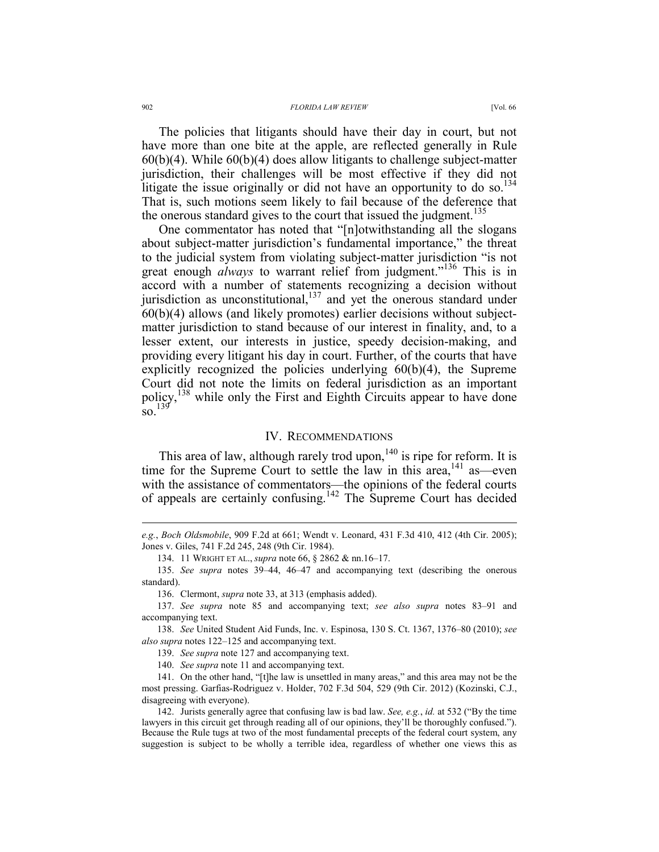#### 902 *FLORIDA LAW REVIEW* [Vol. 66

The policies that litigants should have their day in court, but not have more than one bite at the apple, are reflected generally in Rule  $60(b)(4)$ . While  $60(b)(4)$  does allow litigants to challenge subject-matter jurisdiction, their challenges will be most effective if they did not litigate the issue originally or did not have an opportunity to do so.<sup>134</sup> That is, such motions seem likely to fail because of the deference that the onerous standard gives to the court that issued the judgment.<sup>135</sup>

One commentator has noted that "[n]otwithstanding all the slogans about subject-matter jurisdiction's fundamental importance," the threat to the judicial system from violating subject-matter jurisdiction "is not great enough *always* to warrant relief from judgment."<sup>136</sup> This is in accord with a number of statements recognizing a decision without jurisdiction as unconstitutional, $137$  and yet the onerous standard under 60(b)(4) allows (and likely promotes) earlier decisions without subjectmatter jurisdiction to stand because of our interest in finality, and, to a lesser extent, our interests in justice, speedy decision-making, and providing every litigant his day in court. Further, of the courts that have explicitly recognized the policies underlying 60(b)(4), the Supreme Court did not note the limits on federal jurisdiction as an important policy,<sup>138</sup> while only the First and Eighth Circuits appear to have done  $\frac{139}{80}$ 

#### IV. RECOMMENDATIONS

This area of law, although rarely trod upon,<sup>140</sup> is ripe for reform. It is time for the Supreme Court to settle the law in this area,  $^{141}$  as—even with the assistance of commentators—the opinions of the federal courts of appeals are certainly confusing.142 The Supreme Court has decided

*e.g.*, *Boch Oldsmobile*, 909 F.2d at 661; Wendt v. Leonard, 431 F.3d 410, 412 (4th Cir. 2005); Jones v. Giles, 741 F.2d 245, 248 (9th Cir. 1984).

 <sup>134. 11</sup> WRIGHT ET AL., *supra* note 66, § 2862 & nn.16–17.

 <sup>135.</sup> *See supra* notes 39–44, 46–47 and accompanying text (describing the onerous standard).

 <sup>136.</sup> Clermont, *supra* note 33, at 313 (emphasis added).

 <sup>137.</sup> *See supra* note 85 and accompanying text; *see also supra* notes 83–91 and accompanying text.

 <sup>138.</sup> *See* United Student Aid Funds, Inc. v. Espinosa, 130 S. Ct. 1367, 1376–80 (2010); *see also supra* notes 122–125 and accompanying text.

 <sup>139.</sup> *See supra* note 127 and accompanying text.

 <sup>140.</sup> *See supra* note 11 and accompanying text.

 <sup>141.</sup> On the other hand, "[t]he law is unsettled in many areas," and this area may not be the most pressing. Garfias-Rodriguez v. Holder, 702 F.3d 504, 529 (9th Cir. 2012) (Kozinski, C.J., disagreeing with everyone).

 <sup>142.</sup> Jurists generally agree that confusing law is bad law. *See, e.g.*, *id.* at 532 ("By the time lawyers in this circuit get through reading all of our opinions, they'll be thoroughly confused."). Because the Rule tugs at two of the most fundamental precepts of the federal court system, any suggestion is subject to be wholly a terrible idea, regardless of whether one views this as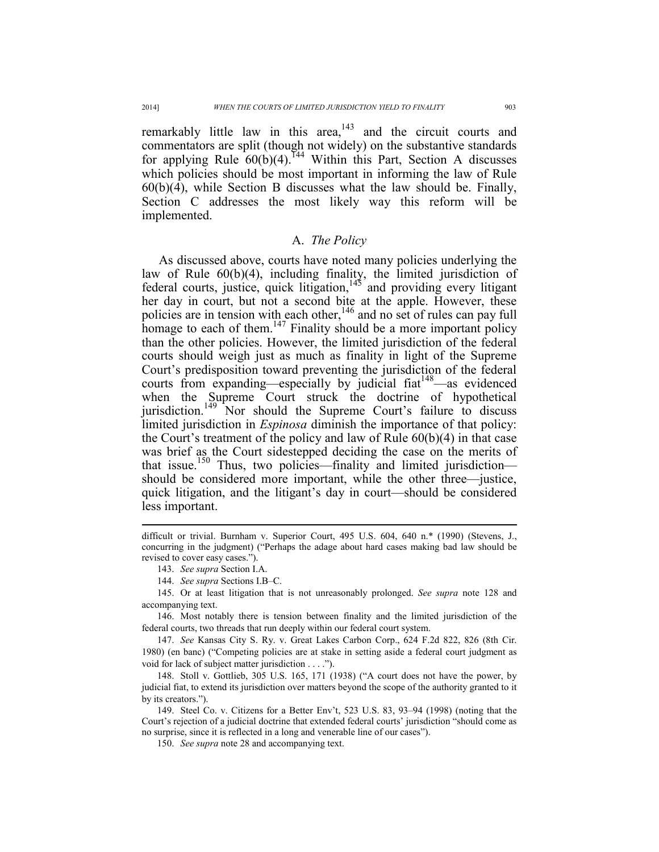remarkably little law in this area, $143$  and the circuit courts and commentators are split (though not widely) on the substantive standards for applying Rule  $60(b)(4)$ .<sup>144</sup> Within this Part, Section A discusses which policies should be most important in informing the law of Rule 60(b)(4), while Section B discusses what the law should be. Finally, Section C addresses the most likely way this reform will be implemented.

# A. *The Policy*

As discussed above, courts have noted many policies underlying the law of Rule 60(b)(4), including finality, the limited jurisdiction of federal courts, justice, quick litigation,  $145$  and providing every litigant her day in court, but not a second bite at the apple. However, these policies are in tension with each other,  $146$  and no set of rules can pay full homage to each of them.<sup>147</sup> Finality should be a more important policy than the other policies. However, the limited jurisdiction of the federal courts should weigh just as much as finality in light of the Supreme Court's predisposition toward preventing the jurisdiction of the federal courts from expanding—especially by judicial fiat<sup>148</sup>—as evidenced when the Supreme Court struck the doctrine of hypothetical jurisdiction.<sup>149</sup> Nor should the Supreme Court's failure to discuss limited jurisdiction in *Espinosa* diminish the importance of that policy: the Court's treatment of the policy and law of Rule 60(b)(4) in that case was brief as the Court sidestepped deciding the case on the merits of that issue.<sup>150</sup> Thus, two policies—finality and limited jurisdiction should be considered more important, while the other three—justice, quick litigation, and the litigant's day in court—should be considered less important.

difficult or trivial. Burnham v. Superior Court, 495 U.S. 604, 640 n.\* (1990) (Stevens, J., concurring in the judgment) ("Perhaps the adage about hard cases making bad law should be revised to cover easy cases.").

 <sup>143.</sup> *See supra* Section I.A.

 <sup>144.</sup> *See supra* Sections I.B–C.

 <sup>145.</sup> Or at least litigation that is not unreasonably prolonged. *See supra* note 128 and accompanying text.

 <sup>146.</sup> Most notably there is tension between finality and the limited jurisdiction of the federal courts, two threads that run deeply within our federal court system.

 <sup>147.</sup> *See* Kansas City S. Ry. v. Great Lakes Carbon Corp., 624 F.2d 822, 826 (8th Cir. 1980) (en banc) ("Competing policies are at stake in setting aside a federal court judgment as void for lack of subject matter jurisdiction . . . .").

 <sup>148.</sup> Stoll v. Gottlieb, 305 U.S. 165, 171 (1938) ("A court does not have the power, by judicial fiat, to extend its jurisdiction over matters beyond the scope of the authority granted to it by its creators.").

 <sup>149.</sup> Steel Co. v. Citizens for a Better Env't, 523 U.S. 83, 93–94 (1998) (noting that the Court's rejection of a judicial doctrine that extended federal courts' jurisdiction "should come as no surprise, since it is reflected in a long and venerable line of our cases").

 <sup>150.</sup> *See supra* note 28 and accompanying text.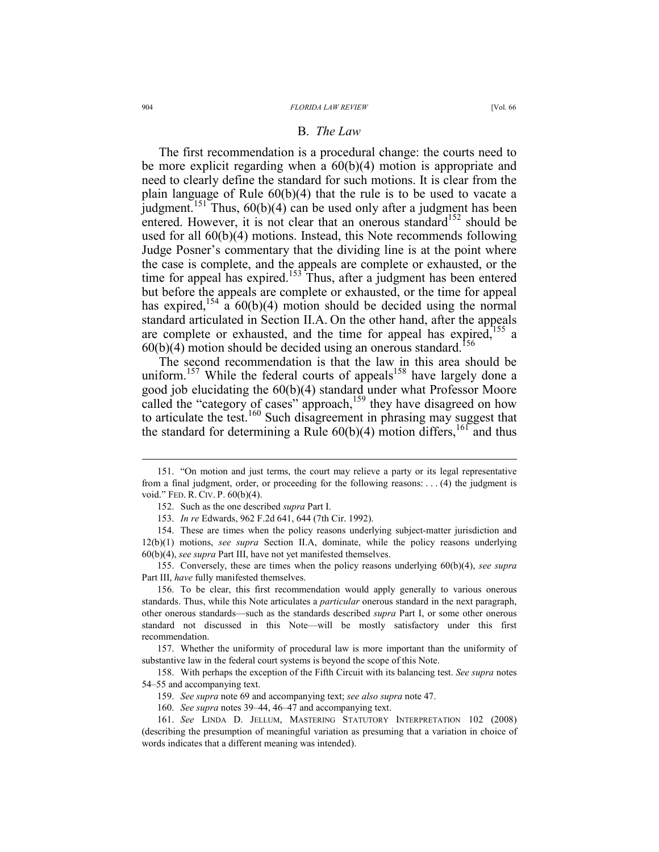### B. *The Law*

The first recommendation is a procedural change: the courts need to be more explicit regarding when a 60(b)(4) motion is appropriate and need to clearly define the standard for such motions. It is clear from the plain language of Rule 60(b)(4) that the rule is to be used to vacate a judgment.<sup>151</sup> Thus,  $60(b)(4)$  can be used only after a judgment has been entered. However, it is not clear that an onerous standard<sup>152</sup> should be used for all 60(b)(4) motions. Instead, this Note recommends following Judge Posner's commentary that the dividing line is at the point where the case is complete, and the appeals are complete or exhausted, or the time for appeal has expired.<sup>153</sup> Thus, after a judgment has been entered but before the appeals are complete or exhausted, or the time for appeal has expired,  $154$  a  $60(b)(4)$  motion should be decided using the normal standard articulated in Section II.A. On the other hand, after the appeals are complete or exhausted, and the time for appeal has expired,<sup>155</sup> a  $60(b)(4)$  motion should be decided using an onerous standard.<sup>156</sup>

The second recommendation is that the law in this area should be uniform.<sup>157</sup> While the federal courts of appeals<sup>158</sup> have largely done a good job elucidating the 60(b)(4) standard under what Professor Moore called the "category of cases" approach,<sup>159</sup> they have disagreed on how to articulate the test.<sup>160</sup> Such disagreement in phrasing may suggest that the standard for determining a Rule  $60(b)(4)$  motion differs,  $161$  and thus

 <sup>151. &</sup>quot;On motion and just terms, the court may relieve a party or its legal representative from a final judgment, order, or proceeding for the following reasons: . . . (4) the judgment is void." FED. R. CIV. P. 60(b)(4).

 <sup>152.</sup> Such as the one described *supra* Part I.

 <sup>153.</sup> *In re* Edwards, 962 F.2d 641, 644 (7th Cir. 1992).

 <sup>154.</sup> These are times when the policy reasons underlying subject-matter jurisdiction and 12(b)(1) motions, *see supra* Section II.A, dominate, while the policy reasons underlying 60(b)(4), *see supra* Part III, have not yet manifested themselves.

 <sup>155.</sup> Conversely, these are times when the policy reasons underlying 60(b)(4), *see supra* Part III, *have* fully manifested themselves.

 <sup>156.</sup> To be clear, this first recommendation would apply generally to various onerous standards. Thus, while this Note articulates a *particular* onerous standard in the next paragraph, other onerous standards—such as the standards described *supra* Part I, or some other onerous standard not discussed in this Note—will be mostly satisfactory under this first recommendation.

 <sup>157.</sup> Whether the uniformity of procedural law is more important than the uniformity of substantive law in the federal court systems is beyond the scope of this Note.

 <sup>158.</sup> With perhaps the exception of the Fifth Circuit with its balancing test. *See supra* notes 54–55 and accompanying text.

 <sup>159.</sup> *See supra* note 69 and accompanying text; *see also supra* note 47.

 <sup>160.</sup> *See supra* notes 39–44, 46–47 and accompanying text.

 <sup>161.</sup> *See* LINDA D. JELLUM, MASTERING STATUTORY INTERPRETATION 102 (2008) (describing the presumption of meaningful variation as presuming that a variation in choice of words indicates that a different meaning was intended).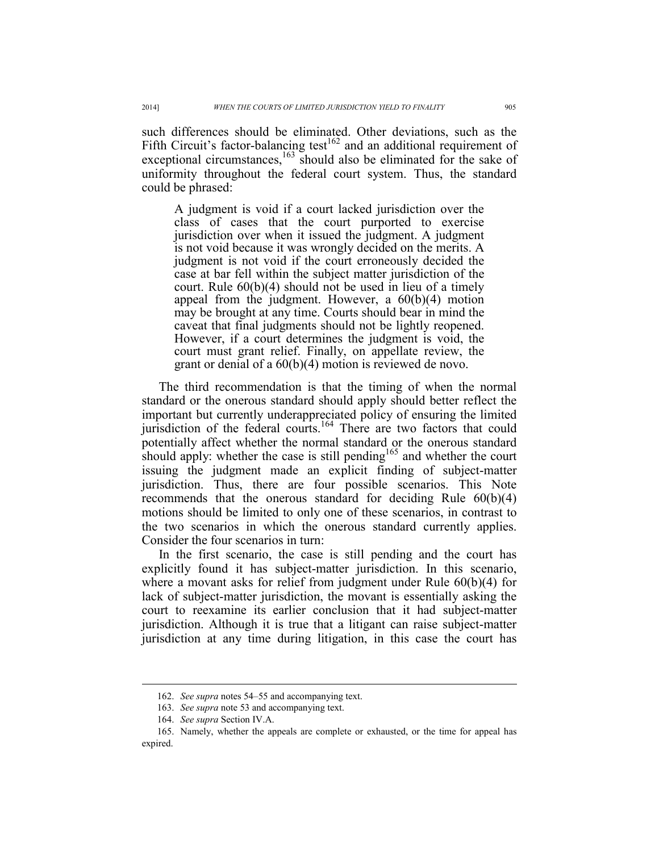such differences should be eliminated. Other deviations, such as the Fifth Circuit's factor-balancing test<sup>162</sup> and an additional requirement of exceptional circumstances, $163$  should also be eliminated for the sake of uniformity throughout the federal court system. Thus, the standard could be phrased:

A judgment is void if a court lacked jurisdiction over the class of cases that the court purported to exercise jurisdiction over when it issued the judgment. A judgment is not void because it was wrongly decided on the merits. A judgment is not void if the court erroneously decided the case at bar fell within the subject matter jurisdiction of the court. Rule 60(b)(4) should not be used in lieu of a timely appeal from the judgment. However, a  $60(b)(4)$  motion may be brought at any time. Courts should bear in mind the caveat that final judgments should not be lightly reopened. However, if a court determines the judgment is void, the court must grant relief. Finally, on appellate review, the grant or denial of a 60(b)(4) motion is reviewed de novo.

The third recommendation is that the timing of when the normal standard or the onerous standard should apply should better reflect the important but currently underappreciated policy of ensuring the limited jurisdiction of the federal courts.<sup>164</sup> There are two factors that could potentially affect whether the normal standard or the onerous standard should apply: whether the case is still pending<sup>165</sup> and whether the court issuing the judgment made an explicit finding of subject-matter jurisdiction. Thus, there are four possible scenarios. This Note recommends that the onerous standard for deciding Rule 60(b)(4) motions should be limited to only one of these scenarios, in contrast to the two scenarios in which the onerous standard currently applies. Consider the four scenarios in turn:

In the first scenario, the case is still pending and the court has explicitly found it has subject-matter jurisdiction. In this scenario, where a movant asks for relief from judgment under Rule 60(b)(4) for lack of subject-matter jurisdiction, the movant is essentially asking the court to reexamine its earlier conclusion that it had subject-matter jurisdiction. Although it is true that a litigant can raise subject-matter jurisdiction at any time during litigation, in this case the court has

 <sup>162.</sup> *See supra* notes 54–55 and accompanying text.

 <sup>163.</sup> *See supra* note 53 and accompanying text.

 <sup>164.</sup> *See supra* Section IV.A.

 <sup>165.</sup> Namely, whether the appeals are complete or exhausted, or the time for appeal has expired.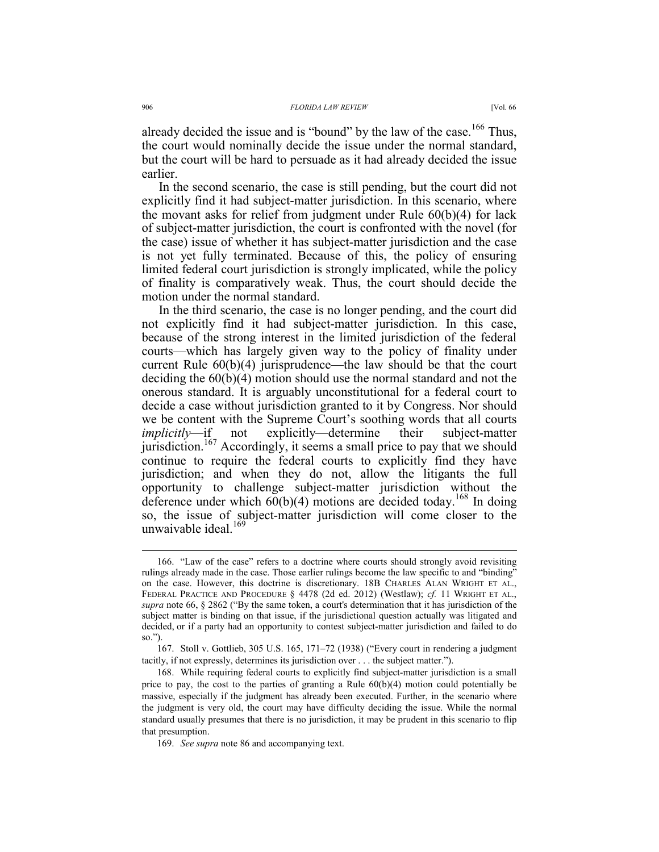already decided the issue and is "bound" by the law of the case.<sup>166</sup> Thus, the court would nominally decide the issue under the normal standard, but the court will be hard to persuade as it had already decided the issue earlier.

In the second scenario, the case is still pending, but the court did not explicitly find it had subject-matter jurisdiction. In this scenario, where the movant asks for relief from judgment under Rule 60(b)(4) for lack of subject-matter jurisdiction, the court is confronted with the novel (for the case) issue of whether it has subject-matter jurisdiction and the case is not yet fully terminated. Because of this, the policy of ensuring limited federal court jurisdiction is strongly implicated, while the policy of finality is comparatively weak. Thus, the court should decide the motion under the normal standard.

In the third scenario, the case is no longer pending, and the court did not explicitly find it had subject-matter jurisdiction. In this case, because of the strong interest in the limited jurisdiction of the federal courts—which has largely given way to the policy of finality under current Rule 60(b)(4) jurisprudence—the law should be that the court deciding the 60(b)(4) motion should use the normal standard and not the onerous standard. It is arguably unconstitutional for a federal court to decide a case without jurisdiction granted to it by Congress. Nor should we be content with the Supreme Court's soothing words that all courts *implicitly*—if not explicitly—determine their subject-matter jurisdiction.<sup>167</sup> Accordingly, it seems a small price to pay that we should continue to require the federal courts to explicitly find they have jurisdiction; and when they do not, allow the litigants the full opportunity to challenge subject-matter jurisdiction without the deference under which  $60(b)(4)$  motions are decided today.<sup>168</sup> In doing so, the issue of subject-matter jurisdiction will come closer to the unwaivable ideal.

 <sup>166. &</sup>quot;Law of the case" refers to a doctrine where courts should strongly avoid revisiting rulings already made in the case. Those earlier rulings become the law specific to and "binding" on the case. However, this doctrine is discretionary. 18B CHARLES ALAN WRIGHT ET AL., FEDERAL PRACTICE AND PROCEDURE § 4478 (2d ed. 2012) (Westlaw); *cf.* 11 WRIGHT ET AL., *supra* note 66, § 2862 ("By the same token, a court's determination that it has jurisdiction of the subject matter is binding on that issue, if the jurisdictional question actually was litigated and decided, or if a party had an opportunity to contest subject-matter jurisdiction and failed to do so.").

 <sup>167.</sup> Stoll v. Gottlieb, 305 U.S. 165, 171–72 (1938) ("Every court in rendering a judgment tacitly, if not expressly, determines its jurisdiction over . . . the subject matter.").

 <sup>168.</sup> While requiring federal courts to explicitly find subject-matter jurisdiction is a small price to pay, the cost to the parties of granting a Rule 60(b)(4) motion could potentially be massive, especially if the judgment has already been executed. Further, in the scenario where the judgment is very old, the court may have difficulty deciding the issue. While the normal standard usually presumes that there is no jurisdiction, it may be prudent in this scenario to flip that presumption.

 <sup>169.</sup> *See supra* note 86 and accompanying text.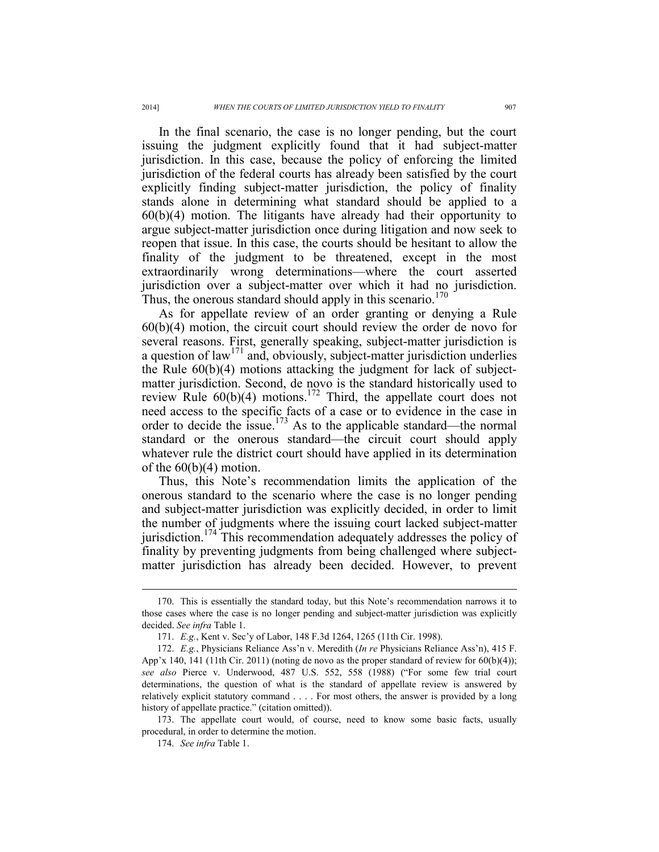In the final scenario, the case is no longer pending, but the court issuing the judgment explicitly found that it had subject-matter jurisdiction. In this case, because the policy of enforcing the limited jurisdiction of the federal courts has already been satisfied by the court explicitly finding subject-matter jurisdiction, the policy of finality stands alone in determining what standard should be applied to a 60(b)(4) motion. The litigants have already had their opportunity to argue subject-matter jurisdiction once during litigation and now seek to reopen that issue. In this case, the courts should be hesitant to allow the finality of the judgment to be threatened, except in the most extraordinarily wrong determinations—where the court asserted jurisdiction over a subject-matter over which it had no jurisdiction. Thus, the onerous standard should apply in this scenario. $170$ 

As for appellate review of an order granting or denying a Rule 60(b)(4) motion, the circuit court should review the order de novo for several reasons. First, generally speaking, subject-matter jurisdiction is a question of law<sup>171</sup> and, obviously, subject-matter jurisdiction underlies the Rule 60(b)(4) motions attacking the judgment for lack of subjectmatter jurisdiction. Second, de novo is the standard historically used to review Rule  $60(b)(4)$  motions.<sup>172</sup> Third, the appellate court does not need access to the specific facts of a case or to evidence in the case in order to decide the issue.<sup>173</sup> As to the applicable standard—the normal standard or the onerous standard—the circuit court should apply whatever rule the district court should have applied in its determination of the  $60(b)(4)$  motion.

Thus, this Note's recommendation limits the application of the onerous standard to the scenario where the case is no longer pending and subject-matter jurisdiction was explicitly decided, in order to limit the number of judgments where the issuing court lacked subject-matter jurisdiction.<sup> $1/4$ </sup> This recommendation adequately addresses the policy of finality by preventing judgments from being challenged where subjectmatter jurisdiction has already been decided. However, to prevent

 <sup>170.</sup> This is essentially the standard today, but this Note's recommendation narrows it to those cases where the case is no longer pending and subject-matter jurisdiction was explicitly decided. *See infra* Table 1.

 <sup>171.</sup> *E.g.*, Kent v. Sec'y of Labor, 148 F.3d 1264, 1265 (11th Cir. 1998).

 <sup>172.</sup> *E.g.*, Physicians Reliance Ass'n v. Meredith (*In re* Physicians Reliance Ass'n), 415 F. App'x 140, 141 (11th Cir. 2011) (noting de novo as the proper standard of review for 60(b)(4)); *see also* Pierce v. Underwood, 487 U.S. 552, 558 (1988) ("For some few trial court determinations, the question of what is the standard of appellate review is answered by relatively explicit statutory command . . . . For most others, the answer is provided by a long history of appellate practice." (citation omitted)).

 <sup>173.</sup> The appellate court would, of course, need to know some basic facts, usually procedural, in order to determine the motion.

 <sup>174.</sup> *See infra* Table 1.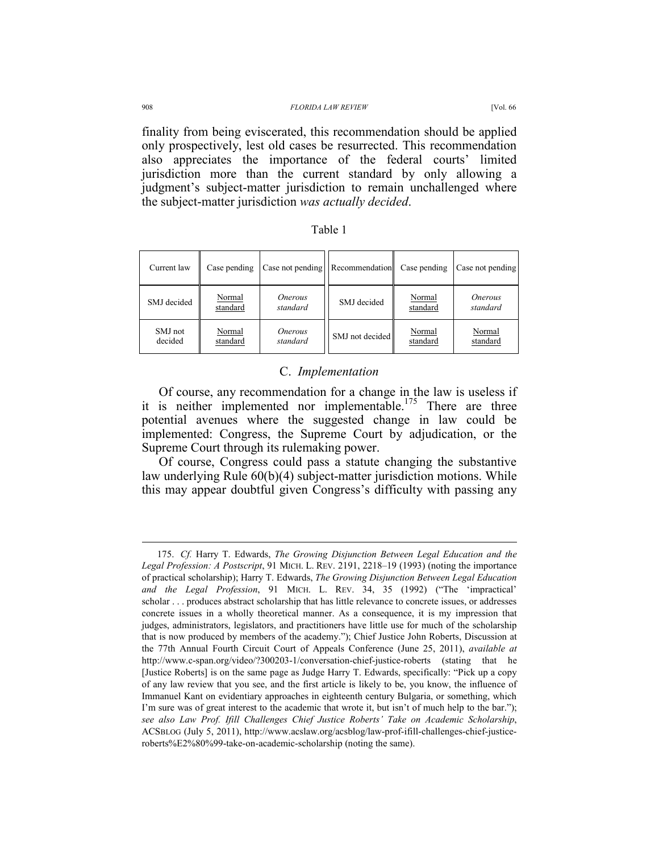#### 908 *FLORIDA LAW REVIEW* [Vol. 66

finality from being eviscerated, this recommendation should be applied only prospectively, lest old cases be resurrected. This recommendation also appreciates the importance of the federal courts' limited jurisdiction more than the current standard by only allowing a judgment's subject-matter jurisdiction to remain unchallenged where the subject-matter jurisdiction *was actually decided*.

| г<br>ı<br>н |  |
|-------------|--|
|             |  |

| Current law        | Case pending       |                            | Case not pending Recommendation | Case pending       | Case not pending                  |
|--------------------|--------------------|----------------------------|---------------------------------|--------------------|-----------------------------------|
| SMJ decided        | Normal<br>standard | <i>Onerous</i><br>standard | SMJ decided                     | Normal<br>standard | <i><b>Onerous</b></i><br>standard |
| SMJ not<br>decided | Normal<br>standard | <i>Onerous</i><br>standard | SMJ not decided                 | Normal<br>standard | Normal<br>standard                |

# C. *Implementation*

Of course, any recommendation for a change in the law is useless if it is neither implemented nor implementable.<sup>175</sup> There are three potential avenues where the suggested change in law could be implemented: Congress, the Supreme Court by adjudication, or the Supreme Court through its rulemaking power.

Of course, Congress could pass a statute changing the substantive law underlying Rule 60(b)(4) subject-matter jurisdiction motions. While this may appear doubtful given Congress's difficulty with passing any

 <sup>175.</sup> *Cf.* Harry T. Edwards, *The Growing Disjunction Between Legal Education and the Legal Profession: A Postscript*, 91 MICH. L. REV. 2191, 2218–19 (1993) (noting the importance of practical scholarship); Harry T. Edwards, *The Growing Disjunction Between Legal Education and the Legal Profession*, 91 MICH. L. REV. 34, 35 (1992) ("The 'impractical' scholar . . . produces abstract scholarship that has little relevance to concrete issues, or addresses concrete issues in a wholly theoretical manner. As a consequence, it is my impression that judges, administrators, legislators, and practitioners have little use for much of the scholarship that is now produced by members of the academy."); Chief Justice John Roberts, Discussion at the 77th Annual Fourth Circuit Court of Appeals Conference (June 25, 2011), *available at* http://www.c-span.org/video/?300203-1/conversation-chief-justice-roberts (stating that he [Justice Roberts] is on the same page as Judge Harry T. Edwards, specifically: "Pick up a copy of any law review that you see, and the first article is likely to be, you know, the influence of Immanuel Kant on evidentiary approaches in eighteenth century Bulgaria, or something, which I'm sure was of great interest to the academic that wrote it, but isn't of much help to the bar."); *see also Law Prof. Ifill Challenges Chief Justice Roberts' Take on Academic Scholarship*, ACSBLOG (July 5, 2011), http://www.acslaw.org/acsblog/law-prof-ifill-challenges-chief-justiceroberts%E2%80%99-take-on-academic-scholarship (noting the same).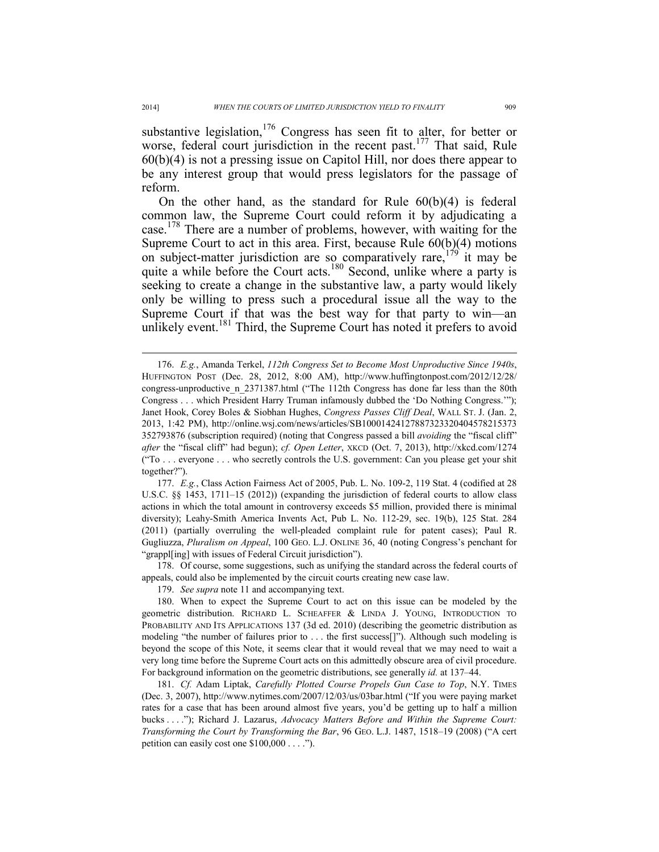substantive legislation,  $176$  Congress has seen fit to alter, for better or worse, federal court jurisdiction in the recent past.<sup>177</sup> That said, Rule 60(b)(4) is not a pressing issue on Capitol Hill, nor does there appear to be any interest group that would press legislators for the passage of reform.

On the other hand, as the standard for Rule  $60(b)(4)$  is federal common law, the Supreme Court could reform it by adjudicating a case.<sup>178</sup> There are a number of problems, however, with waiting for the Supreme Court to act in this area. First, because Rule 60(b)(4) motions on subject-matter jurisdiction are so comparatively rare,  $1^{79}$  it may be quite a while before the Court acts.<sup>180</sup> Second, unlike where a party is seeking to create a change in the substantive law, a party would likely only be willing to press such a procedural issue all the way to the Supreme Court if that was the best way for that party to win—an unlikely event.<sup>181</sup> Third, the Supreme Court has noted it prefers to avoid

 177. *E.g.*, Class Action Fairness Act of 2005, Pub. L. No. 109-2, 119 Stat. 4 (codified at 28 U.S.C. §§ 1453, 1711–15 (2012)) (expanding the jurisdiction of federal courts to allow class actions in which the total amount in controversy exceeds \$5 million, provided there is minimal diversity); Leahy-Smith America Invents Act, Pub L. No. 112-29, sec. 19(b), 125 Stat. 284 (2011) (partially overruling the well-pleaded complaint rule for patent cases); Paul R. Gugliuzza, *Pluralism on Appeal*, 100 GEO. L.J. ONLINE 36, 40 (noting Congress's penchant for "grappl[ing] with issues of Federal Circuit jurisdiction").

 178. Of course, some suggestions, such as unifying the standard across the federal courts of appeals, could also be implemented by the circuit courts creating new case law.

 <sup>176.</sup> *E.g.*, Amanda Terkel, *112th Congress Set to Become Most Unproductive Since 1940s*, HUFFINGTON POST (Dec. 28, 2012, 8:00 AM), http://www.huffingtonpost.com/2012/12/28/ congress-unproductive n 2371387.html ("The 112th Congress has done far less than the 80th Congress . . . which President Harry Truman infamously dubbed the 'Do Nothing Congress.'"); Janet Hook, Corey Boles & Siobhan Hughes, *Congress Passes Cliff Deal*, WALL ST. J. (Jan. 2, 2013, 1:42 PM), http://online.wsj.com/news/articles/SB10001424127887323320404578215373 352793876 (subscription required) (noting that Congress passed a bill *avoiding* the "fiscal cliff" *after* the "fiscal cliff" had begun); *cf. Open Letter*, XKCD (Oct. 7, 2013), http://xkcd.com/1274 ("To . . . everyone . . . who secretly controls the U.S. government: Can you please get your shit together?").

 <sup>179.</sup> *See supra* note 11 and accompanying text.

 <sup>180.</sup> When to expect the Supreme Court to act on this issue can be modeled by the geometric distribution. RICHARD L. SCHEAFFER & LINDA J. YOUNG, INTRODUCTION TO PROBABILITY AND ITS APPLICATIONS 137 (3d ed. 2010) (describing the geometric distribution as modeling "the number of failures prior to . . . the first success[]"). Although such modeling is beyond the scope of this Note, it seems clear that it would reveal that we may need to wait a very long time before the Supreme Court acts on this admittedly obscure area of civil procedure. For background information on the geometric distributions, see generally *id.* at 137–44.

 <sup>181.</sup> *Cf.* Adam Liptak, *Carefully Plotted Course Propels Gun Case to Top*, N.Y. TIMES (Dec. 3, 2007), http://www.nytimes.com/2007/12/03/us/03bar.html ("If you were paying market rates for a case that has been around almost five years, you'd be getting up to half a million bucks . . . ."); Richard J. Lazarus, *Advocacy Matters Before and Within the Supreme Court: Transforming the Court by Transforming the Bar*, 96 GEO. L.J. 1487, 1518–19 (2008) ("A cert petition can easily cost one \$100,000 . . . .").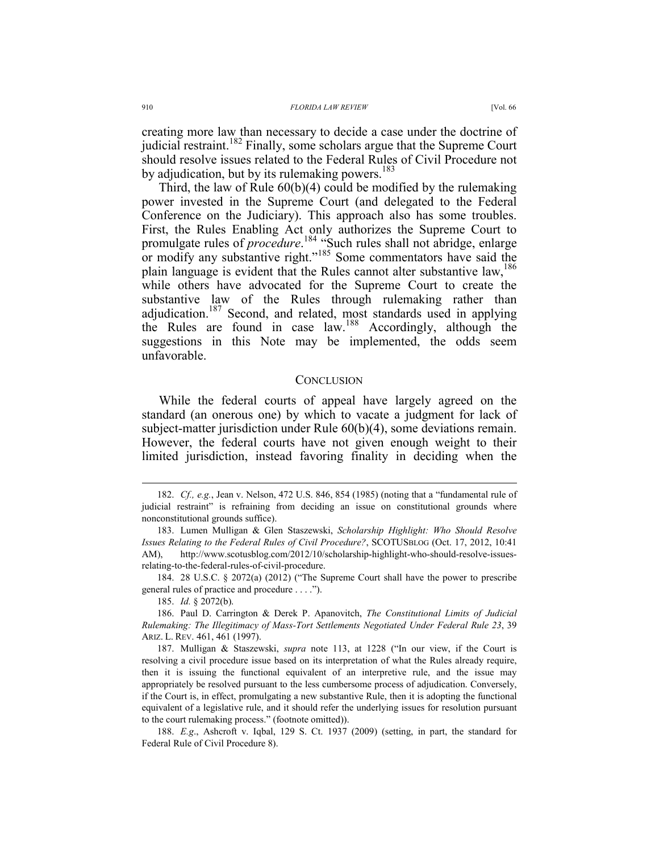creating more law than necessary to decide a case under the doctrine of judicial restraint.<sup>182</sup> Finally, some scholars argue that the Supreme Court should resolve issues related to the Federal Rules of Civil Procedure not by adjudication, but by its rulemaking powers.<sup>183</sup>

Third, the law of Rule 60(b)(4) could be modified by the rulemaking power invested in the Supreme Court (and delegated to the Federal Conference on the Judiciary). This approach also has some troubles. First, the Rules Enabling Act only authorizes the Supreme Court to promulgate rules of *procedure*. 184 "Such rules shall not abridge, enlarge or modify any substantive right."<sup>185</sup> Some commentators have said the plain language is evident that the Rules cannot alter substantive law,<sup>186</sup> while others have advocated for the Supreme Court to create the substantive law of the Rules through rulemaking rather than adjudication.<sup>187</sup> Second, and related, most standards used in applying the Rules are found in case law.<sup>188</sup> Accordingly, although the suggestions in this Note may be implemented, the odds seem unfavorable.

#### **CONCLUSION**

While the federal courts of appeal have largely agreed on the standard (an onerous one) by which to vacate a judgment for lack of subject-matter jurisdiction under Rule 60(b)(4), some deviations remain. However, the federal courts have not given enough weight to their limited jurisdiction, instead favoring finality in deciding when the

185. *Id.* § 2072(b).

 <sup>182.</sup> *Cf., e.g.*, Jean v. Nelson, 472 U.S. 846, 854 (1985) (noting that a "fundamental rule of judicial restraint" is refraining from deciding an issue on constitutional grounds where nonconstitutional grounds suffice).

 <sup>183.</sup> Lumen Mulligan & Glen Staszewski, *Scholarship Highlight: Who Should Resolve Issues Relating to the Federal Rules of Civil Procedure?*, SCOTUSBLOG (Oct. 17, 2012, 10:41 AM), http://www.scotusblog.com/2012/10/scholarship-highlight-who-should-resolve-issuesrelating-to-the-federal-rules-of-civil-procedure.

 <sup>184. 28</sup> U.S.C. § 2072(a) (2012) ("The Supreme Court shall have the power to prescribe general rules of practice and procedure . . . .").

 <sup>186.</sup> Paul D. Carrington & Derek P. Apanovitch, *The Constitutional Limits of Judicial Rulemaking: The Illegitimacy of Mass-Tort Settlements Negotiated Under Federal Rule 23*, 39 ARIZ. L. REV. 461, 461 (1997).

 <sup>187.</sup> Mulligan & Staszewski, *supra* note 113, at 1228 ("In our view, if the Court is resolving a civil procedure issue based on its interpretation of what the Rules already require, then it is issuing the functional equivalent of an interpretive rule, and the issue may appropriately be resolved pursuant to the less cumbersome process of adjudication. Conversely, if the Court is, in effect, promulgating a new substantive Rule, then it is adopting the functional equivalent of a legislative rule, and it should refer the underlying issues for resolution pursuant to the court rulemaking process." (footnote omitted)).

 <sup>188.</sup> *E.g*., Ashcroft v. Iqbal, 129 S. Ct. 1937 (2009) (setting, in part, the standard for Federal Rule of Civil Procedure 8).